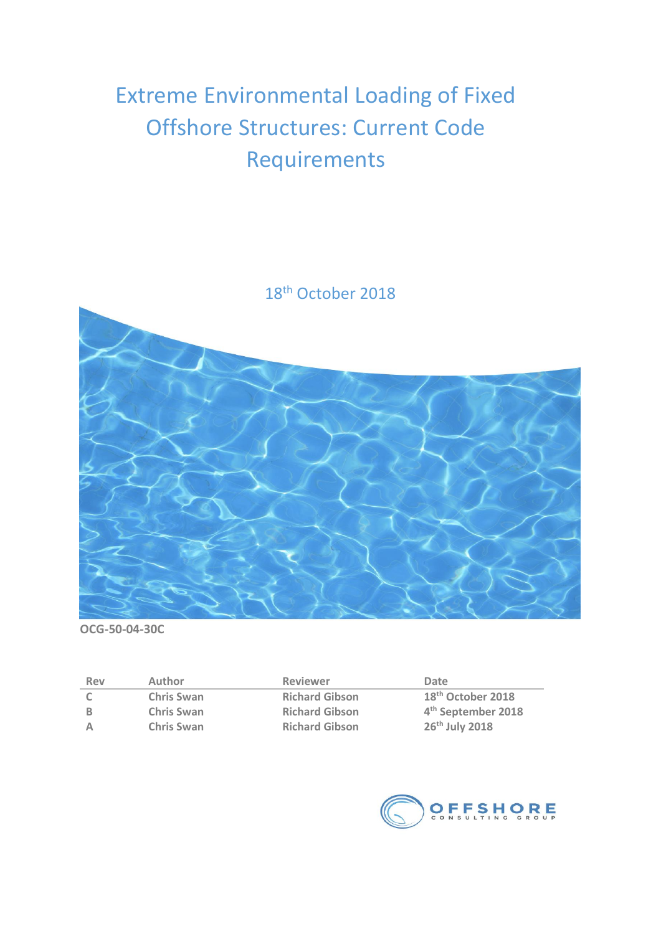# Extreme Environmental Loading of Fixed Offshore Structures: Current Code Requirements



**OCG-50-04-30C**

| Rev | <b>Author</b>     | <b>Reviewer</b>       | Date                           |
|-----|-------------------|-----------------------|--------------------------------|
|     | <b>Chris Swan</b> | <b>Richard Gibson</b> | 18 <sup>th</sup> October 2018  |
|     | <b>Chris Swan</b> | <b>Richard Gibson</b> | 4 <sup>th</sup> September 2018 |
|     | <b>Chris Swan</b> | <b>Richard Gibson</b> | 26 <sup>th</sup> July 2018     |

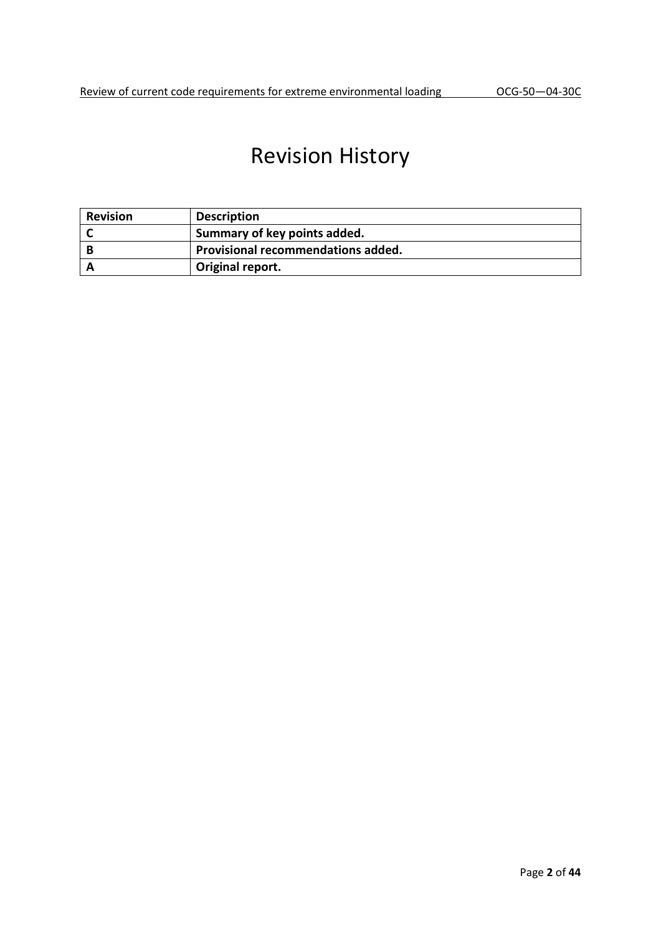## Revision History

| <b>Revision</b> | <b>Description</b>                 |
|-----------------|------------------------------------|
|                 | Summary of key points added.       |
|                 | Provisional recommendations added. |
|                 | Original report.                   |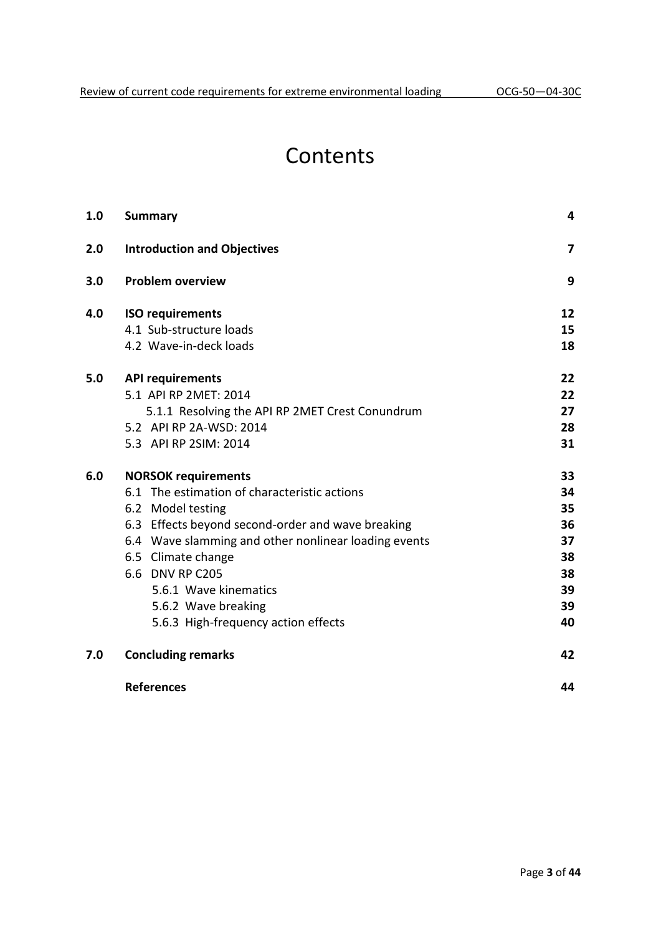## Contents

| 1.0 | <b>Summary</b>                                       | 4  |
|-----|------------------------------------------------------|----|
| 2.0 | <b>Introduction and Objectives</b>                   | 7  |
| 3.0 | <b>Problem overview</b>                              | 9  |
| 4.0 | <b>ISO requirements</b>                              | 12 |
|     | 4.1 Sub-structure loads                              | 15 |
|     | 4.2 Wave-in-deck loads                               | 18 |
| 5.0 | <b>API requirements</b>                              | 22 |
|     | 5.1 API RP 2MET: 2014                                | 22 |
|     | 5.1.1 Resolving the API RP 2MET Crest Conundrum      | 27 |
|     | 5.2 API RP 2A-WSD: 2014                              | 28 |
|     | 5.3 API RP 2SIM: 2014                                | 31 |
| 6.0 | <b>NORSOK requirements</b>                           | 33 |
|     | 6.1 The estimation of characteristic actions         | 34 |
|     | 6.2 Model testing                                    | 35 |
|     | 6.3 Effects beyond second-order and wave breaking    | 36 |
|     | 6.4 Wave slamming and other nonlinear loading events | 37 |
|     | 6.5 Climate change                                   | 38 |
|     | 6.6 DNV RP C205                                      | 38 |
|     | 5.6.1 Wave kinematics                                | 39 |
|     | 5.6.2 Wave breaking                                  | 39 |
|     | 5.6.3 High-frequency action effects                  | 40 |
| 7.0 | <b>Concluding remarks</b>                            | 42 |
|     | <b>References</b>                                    | 44 |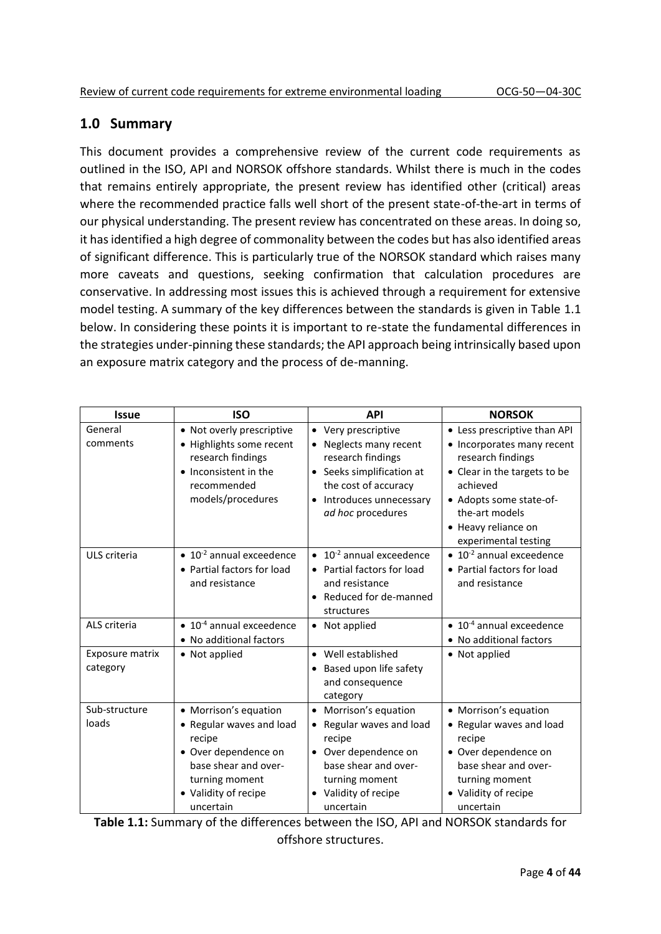## **1.0 Summary**

This document provides a comprehensive review of the current code requirements as outlined in the ISO, API and NORSOK offshore standards. Whilst there is much in the codes that remains entirely appropriate, the present review has identified other (critical) areas where the recommended practice falls well short of the present state-of-the-art in terms of our physical understanding. The present review has concentrated on these areas. In doing so, it has identified a high degree of commonality between the codes but has also identified areas of significant difference. This is particularly true of the NORSOK standard which raises many more caveats and questions, seeking confirmation that calculation procedures are conservative. In addressing most issues this is achieved through a requirement for extensive model testing. A summary of the key differences between the standards is given in Table 1.1 below. In considering these points it is important to re-state the fundamental differences in the strategies under-pinning these standards; the API approach being intrinsically based upon an exposure matrix category and the process of de-manning.

| <b>Issue</b>                | <b>ISO</b>                                                                                                                                                         | <b>API</b>                                                                                                                                                                             | <b>NORSOK</b>                                                                                                                                                                                                           |
|-----------------------------|--------------------------------------------------------------------------------------------------------------------------------------------------------------------|----------------------------------------------------------------------------------------------------------------------------------------------------------------------------------------|-------------------------------------------------------------------------------------------------------------------------------------------------------------------------------------------------------------------------|
| General<br>comments         | • Not overly prescriptive<br>• Highlights some recent<br>research findings<br>• Inconsistent in the<br>recommended<br>models/procedures                            | Very prescriptive<br>$\bullet$<br>Neglects many recent<br>research findings<br>• Seeks simplification at<br>the cost of accuracy<br>Introduces unnecessary<br>ad hoc procedures        | • Less prescriptive than API<br>• Incorporates many recent<br>research findings<br>• Clear in the targets to be<br>achieved<br>• Adopts some state-of-<br>the-art models<br>• Heavy reliance on<br>experimental testing |
| ULS criteria                | $\bullet$ 10 <sup>-2</sup> annual exceedence<br>• Partial factors for load<br>and resistance                                                                       | $\bullet$ 10 <sup>-2</sup> annual exceedence<br>• Partial factors for load<br>and resistance<br>Reduced for de-manned<br>structures                                                    | $\bullet$ 10 <sup>-2</sup> annual exceedence<br>• Partial factors for load<br>and resistance                                                                                                                            |
| ALS criteria                | $\bullet$ 10 <sup>-4</sup> annual exceedence<br>• No additional factors                                                                                            | • Not applied                                                                                                                                                                          | $\bullet$ 10 <sup>-4</sup> annual exceedence<br>• No additional factors                                                                                                                                                 |
| Exposure matrix<br>category | • Not applied                                                                                                                                                      | • Well established<br>Based upon life safety<br>and consequence<br>category                                                                                                            | • Not applied                                                                                                                                                                                                           |
| Sub-structure<br>loads      | • Morrison's equation<br>• Regular waves and load<br>recipe<br>• Over dependence on<br>base shear and over-<br>turning moment<br>• Validity of recipe<br>uncertain | $\bullet$<br>Morrison's equation<br>Regular waves and load<br>$\bullet$<br>recipe<br>• Over dependence on<br>base shear and over-<br>turning moment<br>Validity of recipe<br>uncertain | • Morrison's equation<br>• Regular waves and load<br>recipe<br>• Over dependence on<br>base shear and over-<br>turning moment<br>• Validity of recipe<br>uncertain                                                      |

**Table 1.1:** Summary of the differences between the ISO, API and NORSOK standards for offshore structures.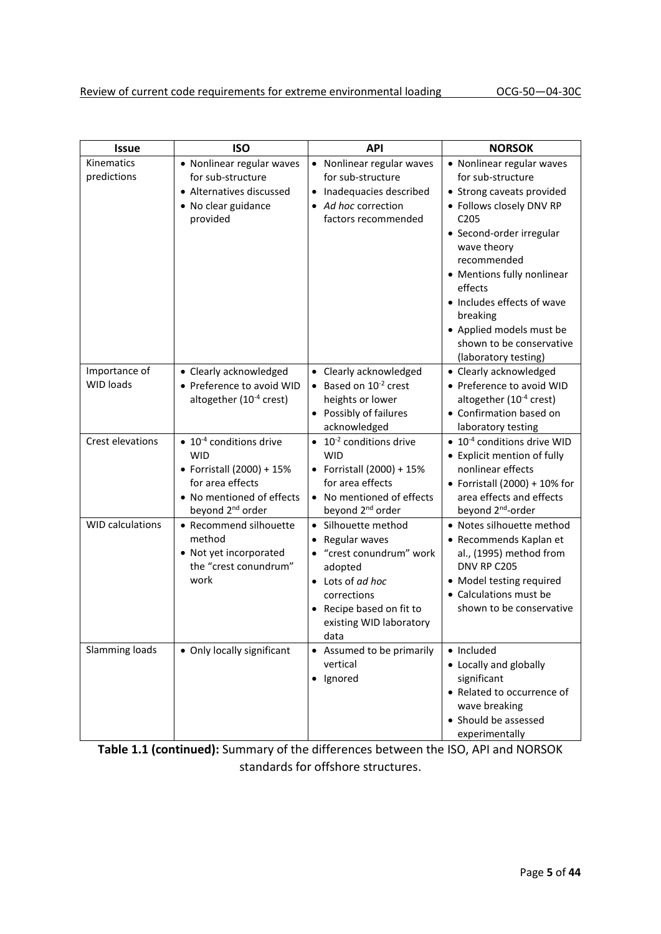| <b>Issue</b>                      | <b>ISO</b>                                                                                                                                                              | <b>API</b>                                                                                                                                                                                 | <b>NORSOK</b>                                                                                                                                                                                                                                                                                                                                            |
|-----------------------------------|-------------------------------------------------------------------------------------------------------------------------------------------------------------------------|--------------------------------------------------------------------------------------------------------------------------------------------------------------------------------------------|----------------------------------------------------------------------------------------------------------------------------------------------------------------------------------------------------------------------------------------------------------------------------------------------------------------------------------------------------------|
| Kinematics<br>predictions         | • Nonlinear regular waves<br>for sub-structure<br>• Alternatives discussed<br>• No clear guidance<br>provided                                                           | • Nonlinear regular waves<br>for sub-structure<br>• Inadequacies described<br>• Ad hoc correction<br>factors recommended                                                                   | • Nonlinear regular waves<br>for sub-structure<br>• Strong caveats provided<br>• Follows closely DNV RP<br>C <sub>205</sub><br>• Second-order irregular<br>wave theory<br>recommended<br>• Mentions fully nonlinear<br>effects<br>• Includes effects of wave<br>breaking<br>• Applied models must be<br>shown to be conservative<br>(laboratory testing) |
| Importance of<br><b>WID loads</b> | • Clearly acknowledged<br>• Preference to avoid WID<br>altogether (10 <sup>-4</sup> crest)                                                                              | • Clearly acknowledged<br>• Based on $10^{-2}$ crest<br>heights or lower<br>Possibly of failures<br>acknowledged                                                                           | • Clearly acknowledged<br>• Preference to avoid WID<br>altogether (10 <sup>-4</sup> crest)<br>• Confirmation based on<br>laboratory testing                                                                                                                                                                                                              |
| Crest elevations                  | $\bullet$ 10 <sup>-4</sup> conditions drive<br><b>WID</b><br>• Forristall (2000) + 15%<br>for area effects<br>• No mentioned of effects<br>beyond 2 <sup>nd</sup> order | $\bullet$ 10 <sup>-2</sup> conditions drive<br><b>WID</b><br>• Forristall (2000) + 15%<br>for area effects<br>• No mentioned of effects<br>beyond 2 <sup>nd</sup> order                    | $\bullet$ 10 <sup>-4</sup> conditions drive WID<br>• Explicit mention of fully<br>nonlinear effects<br>• Forristall (2000) + 10% for<br>area effects and effects<br>beyond 2 <sup>nd</sup> -order                                                                                                                                                        |
| <b>WID calculations</b>           | • Recommend silhouette<br>method<br>• Not yet incorporated<br>the "crest conundrum"<br>work                                                                             | · Silhouette method<br>• Regular waves<br>• "crest conundrum" work<br>adopted<br>• Lots of ad hoc<br>corrections<br>Recipe based on fit to<br>$\bullet$<br>existing WID laboratory<br>data | • Notes silhouette method<br>• Recommends Kaplan et<br>al., (1995) method from<br>DNV RP C205<br>• Model testing required<br>• Calculations must be<br>shown to be conservative                                                                                                                                                                          |
| Slamming loads                    | • Only locally significant                                                                                                                                              | • Assumed to be primarily<br>vertical<br>· Ignored                                                                                                                                         | • Included<br>• Locally and globally<br>significant<br>• Related to occurrence of<br>wave breaking<br>• Should be assessed<br>experimentally                                                                                                                                                                                                             |

**Table 1.1 (continued):** Summary of the differences between the ISO, API and NORSOK standards for offshore structures.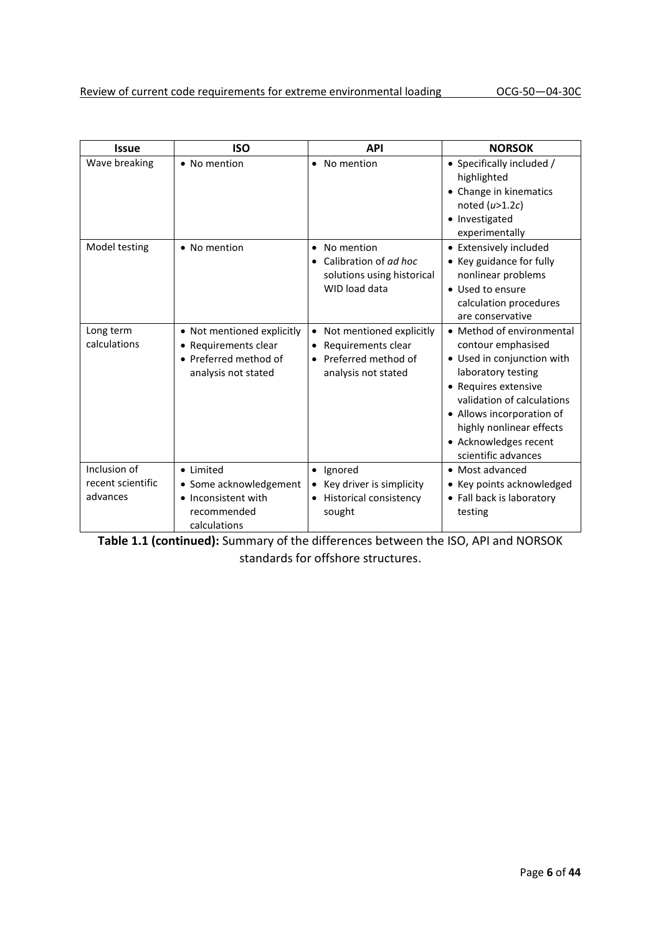| <b>Issue</b>                                  | <b>ISO</b>                                                                                         | <b>API</b>                                                                                                | <b>NORSOK</b>                                                                                                                                                                                                                                                      |
|-----------------------------------------------|----------------------------------------------------------------------------------------------------|-----------------------------------------------------------------------------------------------------------|--------------------------------------------------------------------------------------------------------------------------------------------------------------------------------------------------------------------------------------------------------------------|
| Wave breaking                                 | • No mention                                                                                       | No mention<br>$\bullet$                                                                                   | • Specifically included /<br>highlighted<br>• Change in kinematics<br>noted $(u>1.2c)$<br>• Investigated<br>experimentally                                                                                                                                         |
| Model testing                                 | • No mention                                                                                       | No mention<br>$\bullet$<br>Calibration of ad hoc<br>solutions using historical<br>WID load data           | • Extensively included<br>• Key guidance for fully<br>nonlinear problems<br>• Used to ensure<br>calculation procedures<br>are conservative                                                                                                                         |
| Long term<br>calculations                     | • Not mentioned explicitly<br>• Requirements clear<br>• Preferred method of<br>analysis not stated | Not mentioned explicitly<br>$\bullet$<br>Requirements clear<br>Preferred method of<br>analysis not stated | • Method of environmental<br>contour emphasised<br>• Used in conjunction with<br>laboratory testing<br>• Requires extensive<br>validation of calculations<br>• Allows incorporation of<br>highly nonlinear effects<br>• Acknowledges recent<br>scientific advances |
| Inclusion of<br>recent scientific<br>advances | • Limited<br>• Some acknowledgement<br>• Inconsistent with<br>recommended<br>calculations          | Ignored<br>$\bullet$<br>Key driver is simplicity<br><b>Historical consistency</b><br>$\bullet$<br>sought  | • Most advanced<br>Key points acknowledged<br>• Fall back is laboratory<br>testing                                                                                                                                                                                 |

**Table 1.1 (continued):** Summary of the differences between the ISO, API and NORSOK

standards for offshore structures.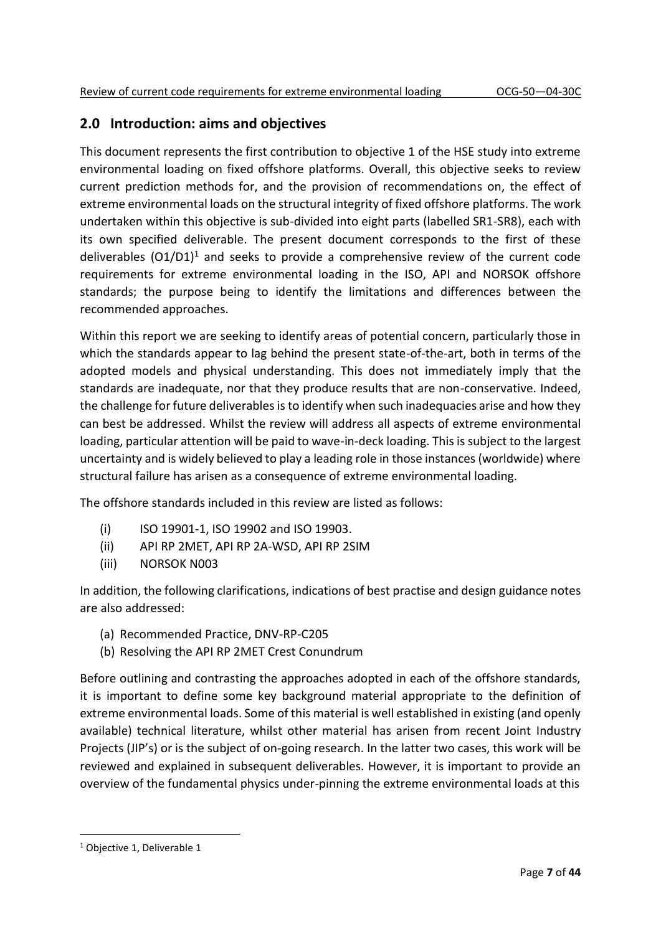## **2.0 Introduction: aims and objectives**

This document represents the first contribution to objective 1 of the HSE study into extreme environmental loading on fixed offshore platforms. Overall, this objective seeks to review current prediction methods for, and the provision of recommendations on, the effect of extreme environmental loads on the structural integrity of fixed offshore platforms. The work undertaken within this objective is sub-divided into eight parts (labelled SR1-SR8), each with its own specified deliverable. The present document corresponds to the first of these deliverables  $(01/D1)^1$  and seeks to provide a comprehensive review of the current code requirements for extreme environmental loading in the ISO, API and NORSOK offshore standards; the purpose being to identify the limitations and differences between the recommended approaches.

Within this report we are seeking to identify areas of potential concern, particularly those in which the standards appear to lag behind the present state-of-the-art, both in terms of the adopted models and physical understanding. This does not immediately imply that the standards are inadequate, nor that they produce results that are non-conservative. Indeed, the challenge for future deliverables is to identify when such inadequacies arise and how they can best be addressed. Whilst the review will address all aspects of extreme environmental loading, particular attention will be paid to wave-in-deck loading. This is subject to the largest uncertainty and is widely believed to play a leading role in those instances (worldwide) where structural failure has arisen as a consequence of extreme environmental loading.

The offshore standards included in this review are listed as follows:

- (i) ISO 19901-1, ISO 19902 and ISO 19903.
- (ii) API RP 2MET, API RP 2A-WSD, API RP 2SIM
- (iii) NORSOK N003

In addition, the following clarifications, indications of best practise and design guidance notes are also addressed:

- (a) Recommended Practice, DNV-RP-C205
- (b) Resolving the API RP 2MET Crest Conundrum

Before outlining and contrasting the approaches adopted in each of the offshore standards, it is important to define some key background material appropriate to the definition of extreme environmental loads. Some of this material is well established in existing (and openly available) technical literature, whilst other material has arisen from recent Joint Industry Projects (JIP's) or is the subject of on-going research. In the latter two cases, this work will be reviewed and explained in subsequent deliverables. However, it is important to provide an overview of the fundamental physics under-pinning the extreme environmental loads at this

<sup>1</sup> Objective 1, Deliverable 1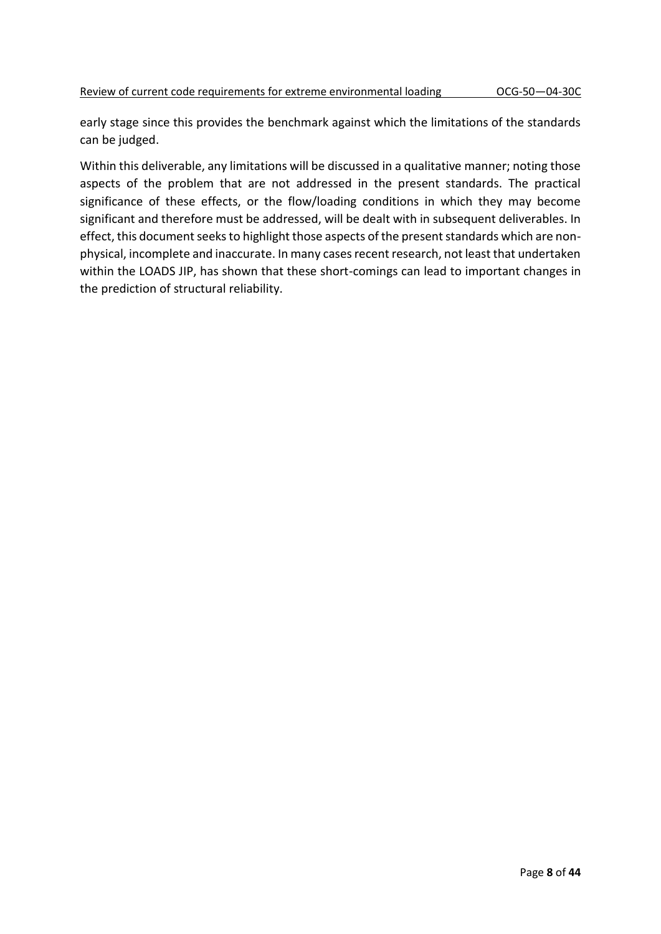early stage since this provides the benchmark against which the limitations of the standards can be judged.

Within this deliverable, any limitations will be discussed in a qualitative manner; noting those aspects of the problem that are not addressed in the present standards. The practical significance of these effects, or the flow/loading conditions in which they may become significant and therefore must be addressed, will be dealt with in subsequent deliverables. In effect, this document seeks to highlight those aspects of the present standards which are nonphysical, incomplete and inaccurate. In many cases recent research, not least that undertaken within the LOADS JIP, has shown that these short-comings can lead to important changes in the prediction of structural reliability.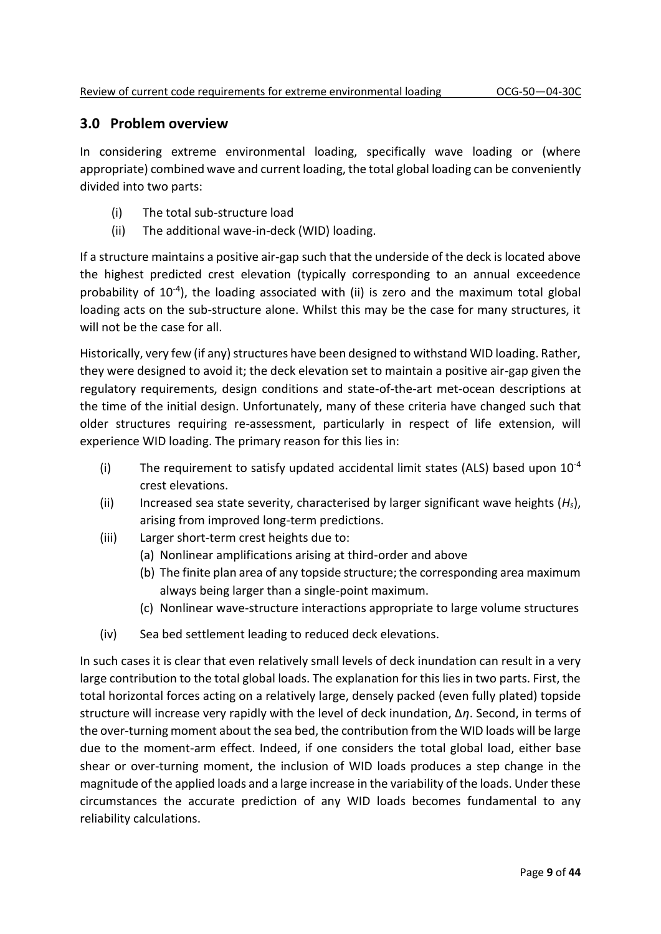### **3.0 Problem overview**

In considering extreme environmental loading, specifically wave loading or (where appropriate) combined wave and current loading, the total global loading can be conveniently divided into two parts:

- (i) The total sub-structure load
- (ii) The additional wave-in-deck (WID) loading.

If a structure maintains a positive air-gap such that the underside of the deck is located above the highest predicted crest elevation (typically corresponding to an annual exceedence probability of 10<sup>-4</sup>), the loading associated with (ii) is zero and the maximum total global loading acts on the sub-structure alone. Whilst this may be the case for many structures, it will not be the case for all.

Historically, very few (if any) structures have been designed to withstand WID loading. Rather, they were designed to avoid it; the deck elevation set to maintain a positive air-gap given the regulatory requirements, design conditions and state-of-the-art met-ocean descriptions at the time of the initial design. Unfortunately, many of these criteria have changed such that older structures requiring re-assessment, particularly in respect of life extension, will experience WID loading. The primary reason for this lies in:

- (i) The requirement to satisfy updated accidental limit states (ALS) based upon  $10^{-4}$ crest elevations.
- (ii) Increased sea state severity, characterised by larger significant wave heights (*Hs*), arising from improved long-term predictions.
- (iii) Larger short-term crest heights due to:
	- (a) Nonlinear amplifications arising at third-order and above
	- (b) The finite plan area of any topside structure; the corresponding area maximum always being larger than a single-point maximum.
	- (c) Nonlinear wave-structure interactions appropriate to large volume structures
- (iv) Sea bed settlement leading to reduced deck elevations.

In such cases it is clear that even relatively small levels of deck inundation can result in a very large contribution to the total global loads. The explanation for this lies in two parts. First, the total horizontal forces acting on a relatively large, densely packed (even fully plated) topside structure will increase very rapidly with the level of deck inundation, ∆*η*. Second, in terms of the over-turning moment about the sea bed, the contribution from the WID loads will be large due to the moment-arm effect. Indeed, if one considers the total global load, either base shear or over-turning moment, the inclusion of WID loads produces a step change in the magnitude of the applied loads and a large increase in the variability of the loads. Under these circumstances the accurate prediction of any WID loads becomes fundamental to any reliability calculations.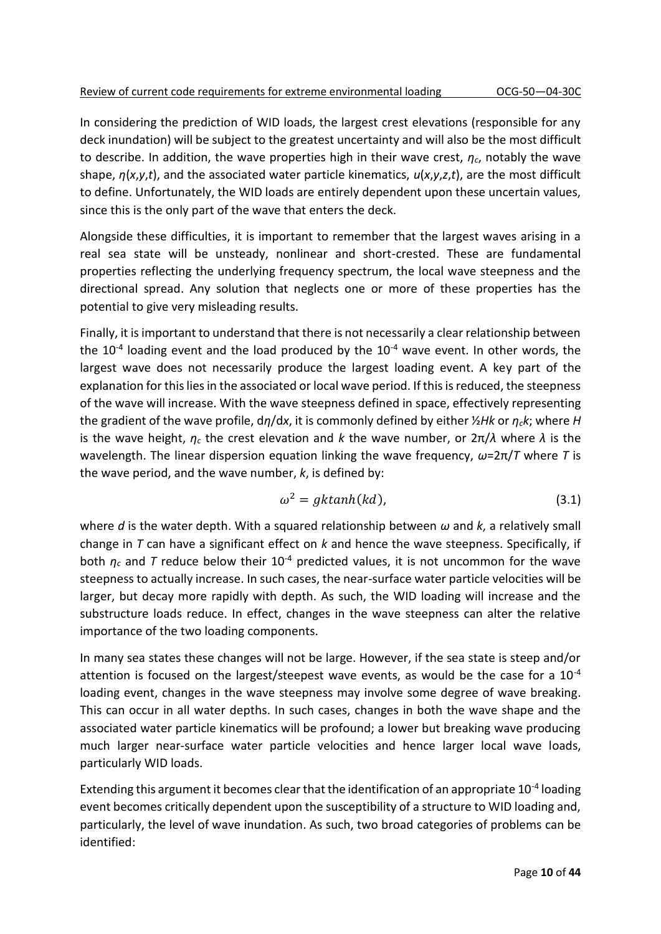In considering the prediction of WID loads, the largest crest elevations (responsible for any deck inundation) will be subject to the greatest uncertainty and will also be the most difficult to describe. In addition, the wave properties high in their wave crest, *ηc*, notably the wave shape, *η*(*x*,*y*,*t*), and the associated water particle kinematics, *u*(*x*,*y*,*z*,*t*), are the most difficult to define. Unfortunately, the WID loads are entirely dependent upon these uncertain values, since this is the only part of the wave that enters the deck.

Alongside these difficulties, it is important to remember that the largest waves arising in a real sea state will be unsteady, nonlinear and short-crested. These are fundamental properties reflecting the underlying frequency spectrum, the local wave steepness and the directional spread. Any solution that neglects one or more of these properties has the potential to give very misleading results.

Finally, it is important to understand that there is not necessarily a clear relationship between the  $10^{-4}$  loading event and the load produced by the  $10^{-4}$  wave event. In other words, the largest wave does not necessarily produce the largest loading event. A key part of the explanation for this lies in the associated or local wave period. If this is reduced, the steepness of the wave will increase. With the wave steepness defined in space, effectively representing the gradient of the wave profile, d*η*/d*x*, it is commonly defined by either ½*Hk* or *ηck*; where *H* is the wave height, *η<sup>c</sup>* the crest elevation and *k* the wave number, or 2π/*λ* where *λ* is the wavelength. The linear dispersion equation linking the wave frequency, *ω*=2π/*T* where *T* is the wave period, and the wave number, *k*, is defined by:

$$
\omega^2 = gktanh(kd),\tag{3.1}
$$

where *d* is the water depth. With a squared relationship between *ω* and *k*, a relatively small change in *T* can have a significant effect on *k* and hence the wave steepness. Specifically, if both  $\eta_c$  and *T* reduce below their 10<sup>-4</sup> predicted values, it is not uncommon for the wave steepness to actually increase. In such cases, the near-surface water particle velocities will be larger, but decay more rapidly with depth. As such, the WID loading will increase and the substructure loads reduce. In effect, changes in the wave steepness can alter the relative importance of the two loading components.

In many sea states these changes will not be large. However, if the sea state is steep and/or attention is focused on the largest/steepest wave events, as would be the case for a  $10^{-4}$ loading event, changes in the wave steepness may involve some degree of wave breaking. This can occur in all water depths. In such cases, changes in both the wave shape and the associated water particle kinematics will be profound; a lower but breaking wave producing much larger near-surface water particle velocities and hence larger local wave loads, particularly WID loads.

Extending this argument it becomes clear that the identification of an appropriate 10<sup>-4</sup> loading event becomes critically dependent upon the susceptibility of a structure to WID loading and, particularly, the level of wave inundation. As such, two broad categories of problems can be identified: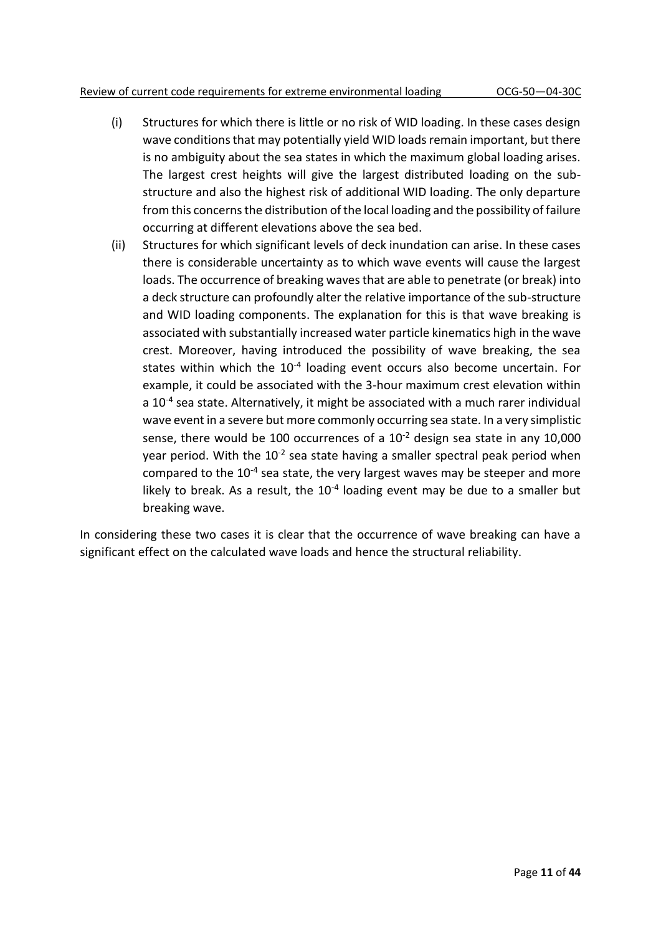#### Review of current code requirements for extreme environmental loading OCG-50—04-30C

- (i) Structures for which there is little or no risk of WID loading. In these cases design wave conditions that may potentially yield WID loads remain important, but there is no ambiguity about the sea states in which the maximum global loading arises. The largest crest heights will give the largest distributed loading on the substructure and also the highest risk of additional WID loading. The only departure from this concerns the distribution of the local loading and the possibility of failure occurring at different elevations above the sea bed.
- (ii) Structures for which significant levels of deck inundation can arise. In these cases there is considerable uncertainty as to which wave events will cause the largest loads. The occurrence of breaking waves that are able to penetrate (or break) into a deck structure can profoundly alter the relative importance of the sub-structure and WID loading components. The explanation for this is that wave breaking is associated with substantially increased water particle kinematics high in the wave crest. Moreover, having introduced the possibility of wave breaking, the sea states within which the 10<sup>-4</sup> loading event occurs also become uncertain. For example, it could be associated with the 3-hour maximum crest elevation within a 10<sup>-4</sup> sea state. Alternatively, it might be associated with a much rarer individual wave event in a severe but more commonly occurring sea state. In a very simplistic sense, there would be 100 occurrences of a  $10^{-2}$  design sea state in any 10,000 year period. With the  $10^{-2}$  sea state having a smaller spectral peak period when compared to the  $10^{-4}$  sea state, the very largest waves may be steeper and more likely to break. As a result, the  $10^{-4}$  loading event may be due to a smaller but breaking wave.

In considering these two cases it is clear that the occurrence of wave breaking can have a significant effect on the calculated wave loads and hence the structural reliability.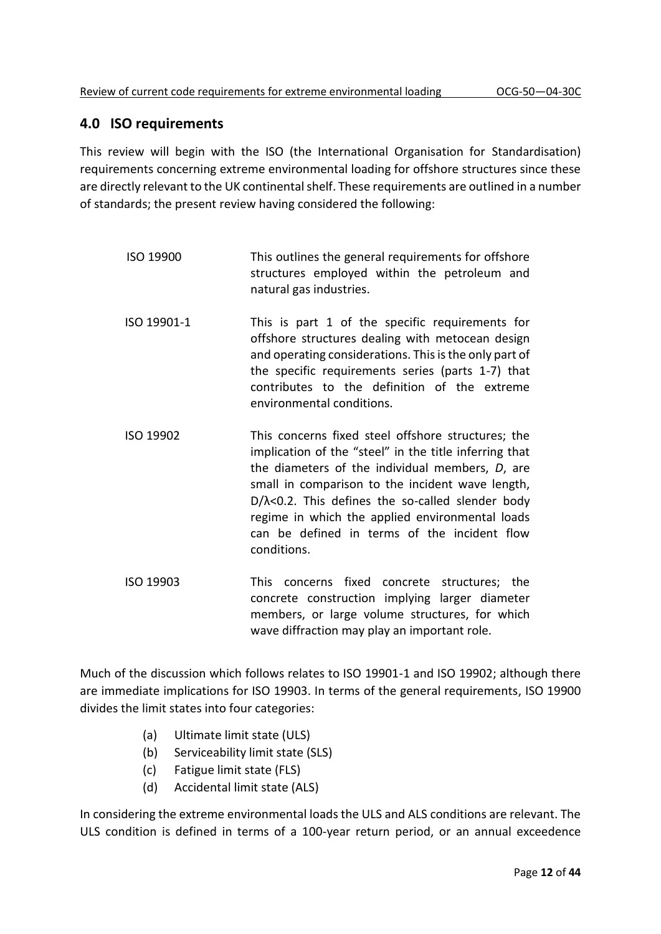## **4.0 ISO requirements**

This review will begin with the ISO (the International Organisation for Standardisation) requirements concerning extreme environmental loading for offshore structures since these are directly relevant to the UK continental shelf. These requirements are outlined in a number of standards; the present review having considered the following:

- ISO 19900 This outlines the general requirements for offshore structures employed within the petroleum and natural gas industries.
- ISO 19901-1 This is part 1 of the specific requirements for offshore structures dealing with metocean design and operating considerations. This is the only part of the specific requirements series (parts 1-7) that contributes to the definition of the extreme environmental conditions.
- ISO 19902 This concerns fixed steel offshore structures; the implication of the "steel" in the title inferring that the diameters of the individual members, *D*, are small in comparison to the incident wave length, D/λ<0.2. This defines the so-called slender body regime in which the applied environmental loads can be defined in terms of the incident flow conditions.
- ISO 19903 This concerns fixed concrete structures; the concrete construction implying larger diameter members, or large volume structures, for which wave diffraction may play an important role.

Much of the discussion which follows relates to ISO 19901-1 and ISO 19902; although there are immediate implications for ISO 19903. In terms of the general requirements, ISO 19900 divides the limit states into four categories:

- (a) Ultimate limit state (ULS)
- (b) Serviceability limit state (SLS)
- (c) Fatigue limit state (FLS)
- (d) Accidental limit state (ALS)

In considering the extreme environmental loads the ULS and ALS conditions are relevant. The ULS condition is defined in terms of a 100-year return period, or an annual exceedence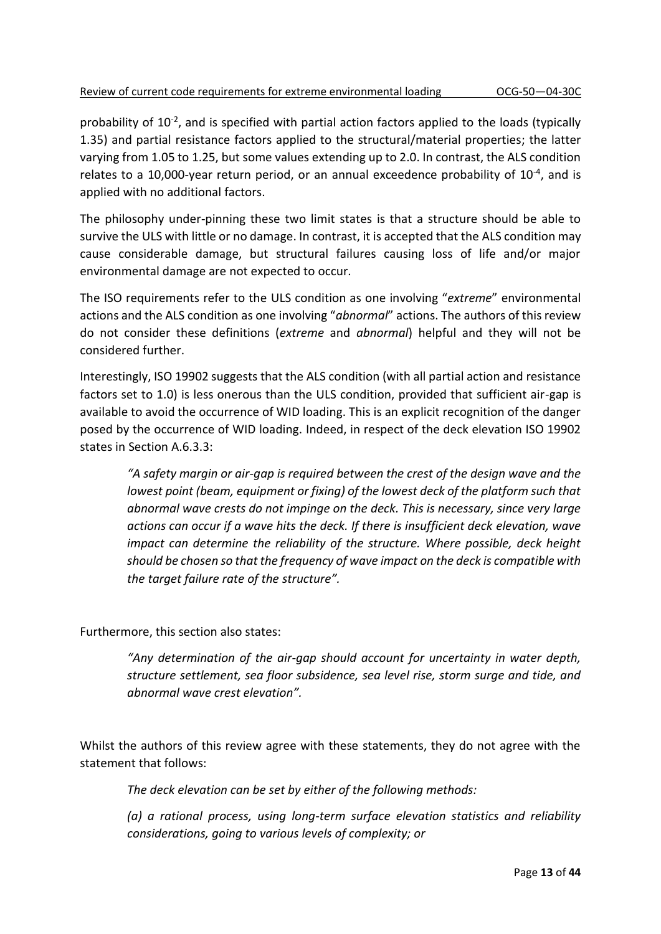probability of 10<sup>-2</sup>, and is specified with partial action factors applied to the loads (typically 1.35) and partial resistance factors applied to the structural/material properties; the latter varying from 1.05 to 1.25, but some values extending up to 2.0. In contrast, the ALS condition relates to a 10,000-year return period, or an annual exceedence probability of  $10^{-4}$ , and is applied with no additional factors.

The philosophy under-pinning these two limit states is that a structure should be able to survive the ULS with little or no damage. In contrast, it is accepted that the ALS condition may cause considerable damage, but structural failures causing loss of life and/or major environmental damage are not expected to occur.

The ISO requirements refer to the ULS condition as one involving "*extreme*" environmental actions and the ALS condition as one involving "*abnormal*" actions. The authors of this review do not consider these definitions (*extreme* and *abnormal*) helpful and they will not be considered further.

Interestingly, ISO 19902 suggests that the ALS condition (with all partial action and resistance factors set to 1.0) is less onerous than the ULS condition, provided that sufficient air-gap is available to avoid the occurrence of WID loading. This is an explicit recognition of the danger posed by the occurrence of WID loading. Indeed, in respect of the deck elevation ISO 19902 states in Section A.6.3.3:

*"A safety margin or air-gap is required between the crest of the design wave and the lowest point (beam, equipment or fixing) of the lowest deck of the platform such that abnormal wave crests do not impinge on the deck. This is necessary, since very large actions can occur if a wave hits the deck. If there is insufficient deck elevation, wave impact can determine the reliability of the structure. Where possible, deck height should be chosen so that the frequency of wave impact on the deck is compatible with the target failure rate of the structure".*

Furthermore, this section also states:

*"Any determination of the air-gap should account for uncertainty in water depth, structure settlement, sea floor subsidence, sea level rise, storm surge and tide, and abnormal wave crest elevation".*

Whilst the authors of this review agree with these statements, they do not agree with the statement that follows:

*The deck elevation can be set by either of the following methods:*

*(a) a rational process, using long-term surface elevation statistics and reliability considerations, going to various levels of complexity; or*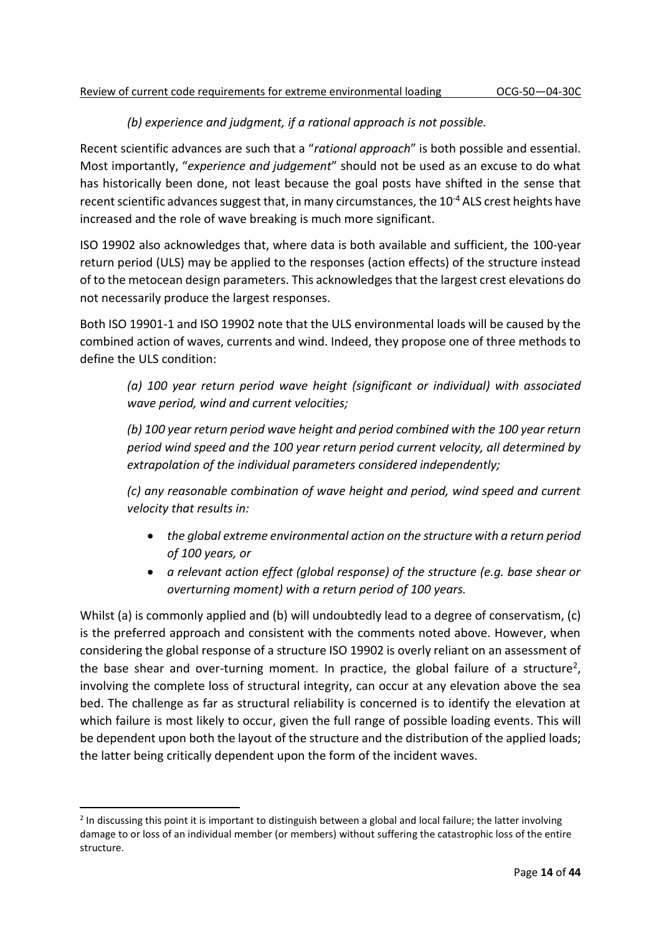## *(b) experience and judgment, if a rational approach is not possible.*

Recent scientific advances are such that a "*rational approach*" is both possible and essential. Most importantly, "*experience and judgement*" should not be used as an excuse to do what has historically been done, not least because the goal posts have shifted in the sense that recent scientific advances suggest that, in many circumstances, the 10-4 ALS crest heights have increased and the role of wave breaking is much more significant.

ISO 19902 also acknowledges that, where data is both available and sufficient, the 100-year return period (ULS) may be applied to the responses (action effects) of the structure instead of to the metocean design parameters. This acknowledges that the largest crest elevations do not necessarily produce the largest responses.

Both ISO 19901-1 and ISO 19902 note that the ULS environmental loads will be caused by the combined action of waves, currents and wind. Indeed, they propose one of three methods to define the ULS condition:

*(a) 100 year return period wave height (significant or individual) with associated wave period, wind and current velocities;*

*(b) 100 year return period wave height and period combined with the 100 year return period wind speed and the 100 year return period current velocity, all determined by extrapolation of the individual parameters considered independently;*

*(c) any reasonable combination of wave height and period, wind speed and current velocity that results in:*

- *the global extreme environmental action on the structure with a return period of 100 years, or*
- *a relevant action effect (global response) of the structure (e.g. base shear or overturning moment) with a return period of 100 years.*

Whilst (a) is commonly applied and (b) will undoubtedly lead to a degree of conservatism, (c) is the preferred approach and consistent with the comments noted above. However, when considering the global response of a structure ISO 19902 is overly reliant on an assessment of the base shear and over-turning moment. In practice, the global failure of a structure<sup>2</sup>, involving the complete loss of structural integrity, can occur at any elevation above the sea bed. The challenge as far as structural reliability is concerned is to identify the elevation at which failure is most likely to occur, given the full range of possible loading events. This will be dependent upon both the layout of the structure and the distribution of the applied loads; the latter being critically dependent upon the form of the incident waves.

 $2$  In discussing this point it is important to distinguish between a global and local failure; the latter involving damage to or loss of an individual member (or members) without suffering the catastrophic loss of the entire structure.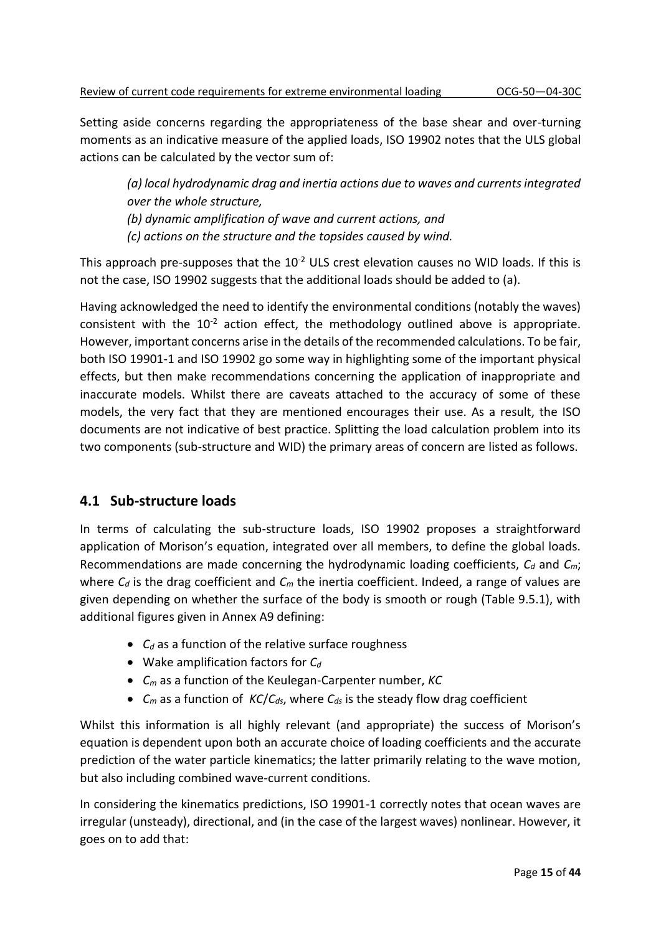Setting aside concerns regarding the appropriateness of the base shear and over-turning moments as an indicative measure of the applied loads, ISO 19902 notes that the ULS global actions can be calculated by the vector sum of:

*(a) local hydrodynamic drag and inertia actions due to waves and currents integrated over the whole structure, (b) dynamic amplification of wave and current actions, and (c) actions on the structure and the topsides caused by wind.*

This approach pre-supposes that the  $10^{-2}$  ULS crest elevation causes no WID loads. If this is not the case, ISO 19902 suggests that the additional loads should be added to (a).

Having acknowledged the need to identify the environmental conditions (notably the waves) consistent with the  $10^{-2}$  action effect, the methodology outlined above is appropriate. However, important concerns arise in the details of the recommended calculations. To be fair, both ISO 19901-1 and ISO 19902 go some way in highlighting some of the important physical effects, but then make recommendations concerning the application of inappropriate and inaccurate models. Whilst there are caveats attached to the accuracy of some of these models, the very fact that they are mentioned encourages their use. As a result, the ISO documents are not indicative of best practice. Splitting the load calculation problem into its two components (sub-structure and WID) the primary areas of concern are listed as follows.

## **4.1 Sub-structure loads**

In terms of calculating the sub-structure loads, ISO 19902 proposes a straightforward application of Morison's equation, integrated over all members, to define the global loads. Recommendations are made concerning the hydrodynamic loading coefficients, *C<sup>d</sup>* and *Cm*; where *C<sup>d</sup>* is the drag coefficient and *C<sup>m</sup>* the inertia coefficient. Indeed, a range of values are given depending on whether the surface of the body is smooth or rough (Table 9.5.1), with additional figures given in Annex A9 defining:

- *C<sup>d</sup>* as a function of the relative surface roughness
- Wake amplification factors for *C<sup>d</sup>*
- *C<sup>m</sup>* as a function of the Keulegan-Carpenter number, *KC*
- *C<sup>m</sup>* as a function of *KC*/*Cds*, where *Cds* is the steady flow drag coefficient

Whilst this information is all highly relevant (and appropriate) the success of Morison's equation is dependent upon both an accurate choice of loading coefficients and the accurate prediction of the water particle kinematics; the latter primarily relating to the wave motion, but also including combined wave-current conditions.

In considering the kinematics predictions, ISO 19901-1 correctly notes that ocean waves are irregular (unsteady), directional, and (in the case of the largest waves) nonlinear. However, it goes on to add that: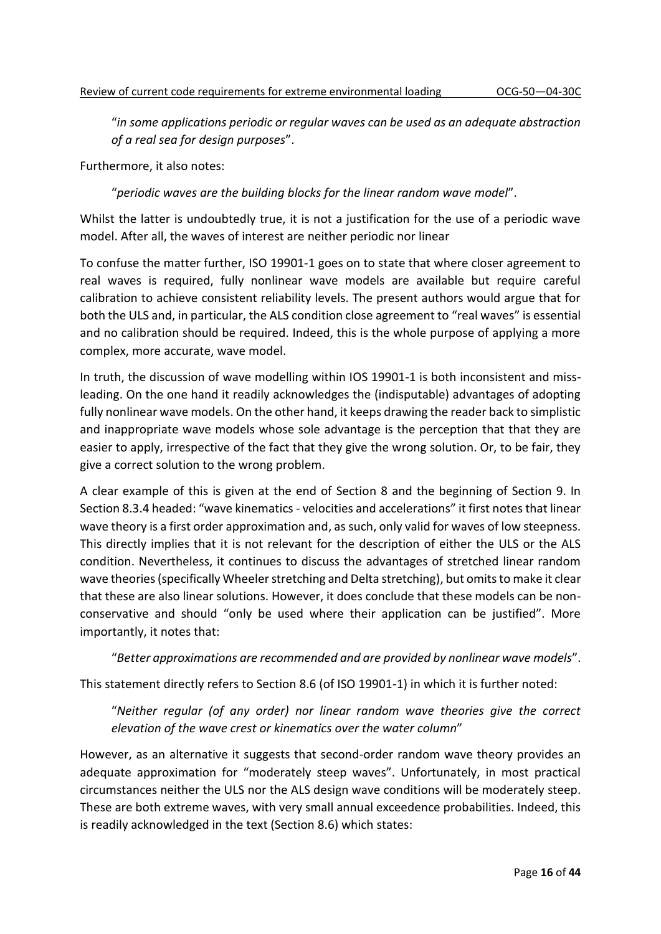"*in some applications periodic or regular waves can be used as an adequate abstraction of a real sea for design purposes*".

Furthermore, it also notes:

"*periodic waves are the building blocks for the linear random wave model*".

Whilst the latter is undoubtedly true, it is not a justification for the use of a periodic wave model. After all, the waves of interest are neither periodic nor linear

To confuse the matter further, ISO 19901-1 goes on to state that where closer agreement to real waves is required, fully nonlinear wave models are available but require careful calibration to achieve consistent reliability levels. The present authors would argue that for both the ULS and, in particular, the ALS condition close agreement to "real waves" is essential and no calibration should be required. Indeed, this is the whole purpose of applying a more complex, more accurate, wave model.

In truth, the discussion of wave modelling within IOS 19901-1 is both inconsistent and missleading. On the one hand it readily acknowledges the (indisputable) advantages of adopting fully nonlinear wave models. On the other hand, it keeps drawing the reader back to simplistic and inappropriate wave models whose sole advantage is the perception that that they are easier to apply, irrespective of the fact that they give the wrong solution. Or, to be fair, they give a correct solution to the wrong problem.

A clear example of this is given at the end of Section 8 and the beginning of Section 9. In Section 8.3.4 headed: "wave kinematics - velocities and accelerations" it first notes that linear wave theory is a first order approximation and, as such, only valid for waves of low steepness. This directly implies that it is not relevant for the description of either the ULS or the ALS condition. Nevertheless, it continues to discuss the advantages of stretched linear random wave theories (specifically Wheeler stretching and Delta stretching), but omits to make it clear that these are also linear solutions. However, it does conclude that these models can be nonconservative and should "only be used where their application can be justified". More importantly, it notes that:

"*Better approximations are recommended and are provided by nonlinear wave models*".

This statement directly refers to Section 8.6 (of ISO 19901-1) in which it is further noted:

"*Neither regular (of any order) nor linear random wave theories give the correct elevation of the wave crest or kinematics over the water column*"

However, as an alternative it suggests that second-order random wave theory provides an adequate approximation for "moderately steep waves". Unfortunately, in most practical circumstances neither the ULS nor the ALS design wave conditions will be moderately steep. These are both extreme waves, with very small annual exceedence probabilities. Indeed, this is readily acknowledged in the text (Section 8.6) which states: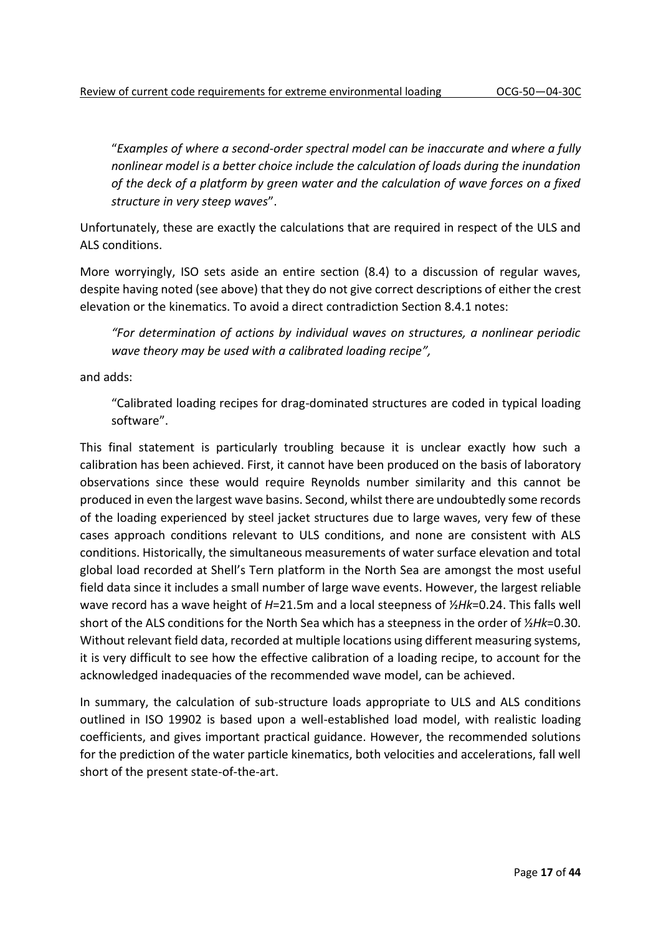"*Examples of where a second-order spectral model can be inaccurate and where a fully nonlinear model is a better choice include the calculation of loads during the inundation of the deck of a platform by green water and the calculation of wave forces on a fixed structure in very steep waves*".

Unfortunately, these are exactly the calculations that are required in respect of the ULS and ALS conditions.

More worryingly, ISO sets aside an entire section (8.4) to a discussion of regular waves, despite having noted (see above) that they do not give correct descriptions of either the crest elevation or the kinematics. To avoid a direct contradiction Section 8.4.1 notes:

*"For determination of actions by individual waves on structures, a nonlinear periodic wave theory may be used with a calibrated loading recipe",*

and adds:

"Calibrated loading recipes for drag-dominated structures are coded in typical loading software".

This final statement is particularly troubling because it is unclear exactly how such a calibration has been achieved. First, it cannot have been produced on the basis of laboratory observations since these would require Reynolds number similarity and this cannot be produced in even the largest wave basins. Second, whilst there are undoubtedly some records of the loading experienced by steel jacket structures due to large waves, very few of these cases approach conditions relevant to ULS conditions, and none are consistent with ALS conditions. Historically, the simultaneous measurements of water surface elevation and total global load recorded at Shell's Tern platform in the North Sea are amongst the most useful field data since it includes a small number of large wave events. However, the largest reliable wave record has a wave height of *H*=21.5m and a local steepness of ½*Hk*=0.24. This falls well short of the ALS conditions for the North Sea which has a steepness in the order of ½*Hk*=0.30. Without relevant field data, recorded at multiple locations using different measuring systems, it is very difficult to see how the effective calibration of a loading recipe, to account for the acknowledged inadequacies of the recommended wave model, can be achieved.

In summary, the calculation of sub-structure loads appropriate to ULS and ALS conditions outlined in ISO 19902 is based upon a well-established load model, with realistic loading coefficients, and gives important practical guidance. However, the recommended solutions for the prediction of the water particle kinematics, both velocities and accelerations, fall well short of the present state-of-the-art.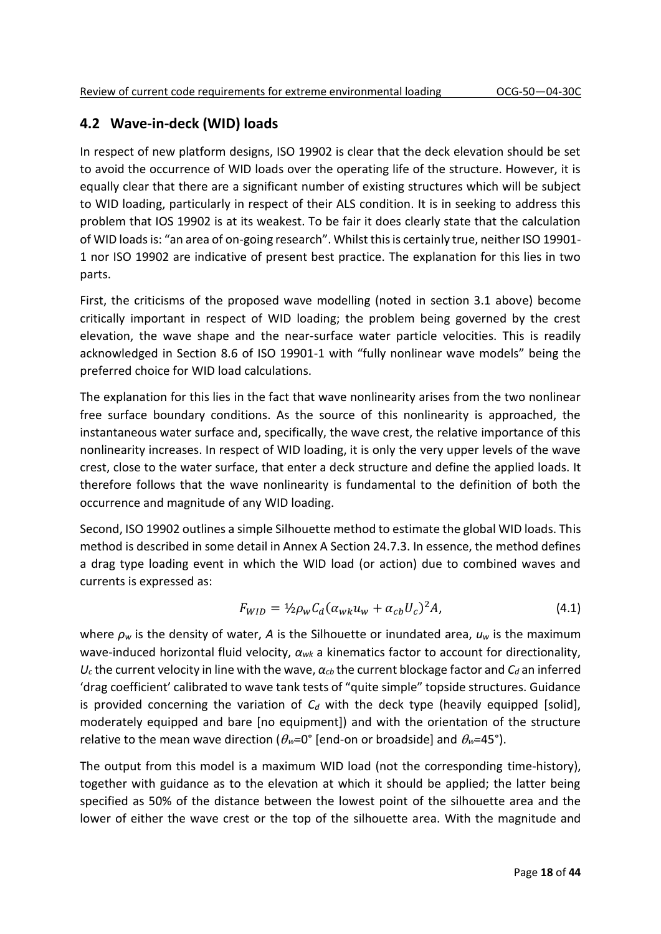## **4.2 Wave-in-deck (WID) loads**

In respect of new platform designs, ISO 19902 is clear that the deck elevation should be set to avoid the occurrence of WID loads over the operating life of the structure. However, it is equally clear that there are a significant number of existing structures which will be subject to WID loading, particularly in respect of their ALS condition. It is in seeking to address this problem that IOS 19902 is at its weakest. To be fair it does clearly state that the calculation of WID loads is: "an area of on-going research". Whilst this is certainly true, neither ISO 19901- 1 nor ISO 19902 are indicative of present best practice. The explanation for this lies in two parts.

First, the criticisms of the proposed wave modelling (noted in section 3.1 above) become critically important in respect of WID loading; the problem being governed by the crest elevation, the wave shape and the near-surface water particle velocities. This is readily acknowledged in Section 8.6 of ISO 19901-1 with "fully nonlinear wave models" being the preferred choice for WID load calculations.

The explanation for this lies in the fact that wave nonlinearity arises from the two nonlinear free surface boundary conditions. As the source of this nonlinearity is approached, the instantaneous water surface and, specifically, the wave crest, the relative importance of this nonlinearity increases. In respect of WID loading, it is only the very upper levels of the wave crest, close to the water surface, that enter a deck structure and define the applied loads. It therefore follows that the wave nonlinearity is fundamental to the definition of both the occurrence and magnitude of any WID loading.

Second, ISO 19902 outlines a simple Silhouette method to estimate the global WID loads. This method is described in some detail in Annex A Section 24.7.3. In essence, the method defines a drag type loading event in which the WID load (or action) due to combined waves and currents is expressed as:

$$
F_{WID} = \frac{1}{2} \rho_w C_d (\alpha_{wk} u_w + \alpha_{cb} U_c)^2 A, \qquad (4.1)
$$

where *ρ<sup>w</sup>* is the density of water, *A* is the Silhouette or inundated area, *u<sup>w</sup>* is the maximum wave-induced horizontal fluid velocity, *αwk* a kinematics factor to account for directionality,  $U_c$  the current velocity in line with the wave,  $\alpha_{cb}$  the current blockage factor and  $C_d$  an inferred 'drag coefficient' calibrated to wave tank tests of "quite simple" topside structures. Guidance is provided concerning the variation of  $C_d$  with the deck type (heavily equipped [solid], moderately equipped and bare [no equipment]) and with the orientation of the structure relative to the mean wave direction ( $\theta_w$ =0° [end-on or broadside] and  $\theta_w$ =45°).

The output from this model is a maximum WID load (not the corresponding time-history), together with guidance as to the elevation at which it should be applied; the latter being specified as 50% of the distance between the lowest point of the silhouette area and the lower of either the wave crest or the top of the silhouette area. With the magnitude and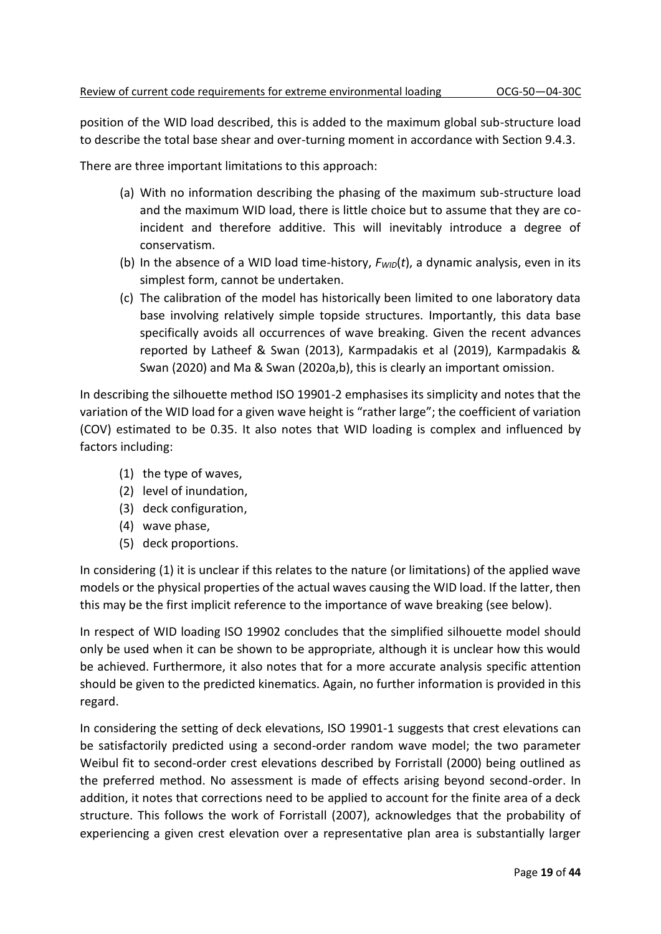position of the WID load described, this is added to the maximum global sub-structure load to describe the total base shear and over-turning moment in accordance with Section 9.4.3.

There are three important limitations to this approach:

- (a) With no information describing the phasing of the maximum sub-structure load and the maximum WID load, there is little choice but to assume that they are coincident and therefore additive. This will inevitably introduce a degree of conservatism.
- (b) In the absence of a WID load time-history, *FWID*(*t*), a dynamic analysis, even in its simplest form, cannot be undertaken.
- (c) The calibration of the model has historically been limited to one laboratory data base involving relatively simple topside structures. Importantly, this data base specifically avoids all occurrences of wave breaking. Given the recent advances reported by Latheef & Swan (2013), Karmpadakis et al (2019), Karmpadakis & Swan (2020) and Ma & Swan (2020a,b), this is clearly an important omission.

In describing the silhouette method ISO 19901-2 emphasises its simplicity and notes that the variation of the WID load for a given wave height is "rather large"; the coefficient of variation (COV) estimated to be 0.35. It also notes that WID loading is complex and influenced by factors including:

- (1) the type of waves,
- (2) level of inundation,
- (3) deck configuration,
- (4) wave phase,
- (5) deck proportions.

In considering (1) it is unclear if this relates to the nature (or limitations) of the applied wave models or the physical properties of the actual waves causing the WID load. If the latter, then this may be the first implicit reference to the importance of wave breaking (see below).

In respect of WID loading ISO 19902 concludes that the simplified silhouette model should only be used when it can be shown to be appropriate, although it is unclear how this would be achieved. Furthermore, it also notes that for a more accurate analysis specific attention should be given to the predicted kinematics. Again, no further information is provided in this regard.

In considering the setting of deck elevations, ISO 19901-1 suggests that crest elevations can be satisfactorily predicted using a second-order random wave model; the two parameter Weibul fit to second-order crest elevations described by Forristall (2000) being outlined as the preferred method. No assessment is made of effects arising beyond second-order. In addition, it notes that corrections need to be applied to account for the finite area of a deck structure. This follows the work of Forristall (2007), acknowledges that the probability of experiencing a given crest elevation over a representative plan area is substantially larger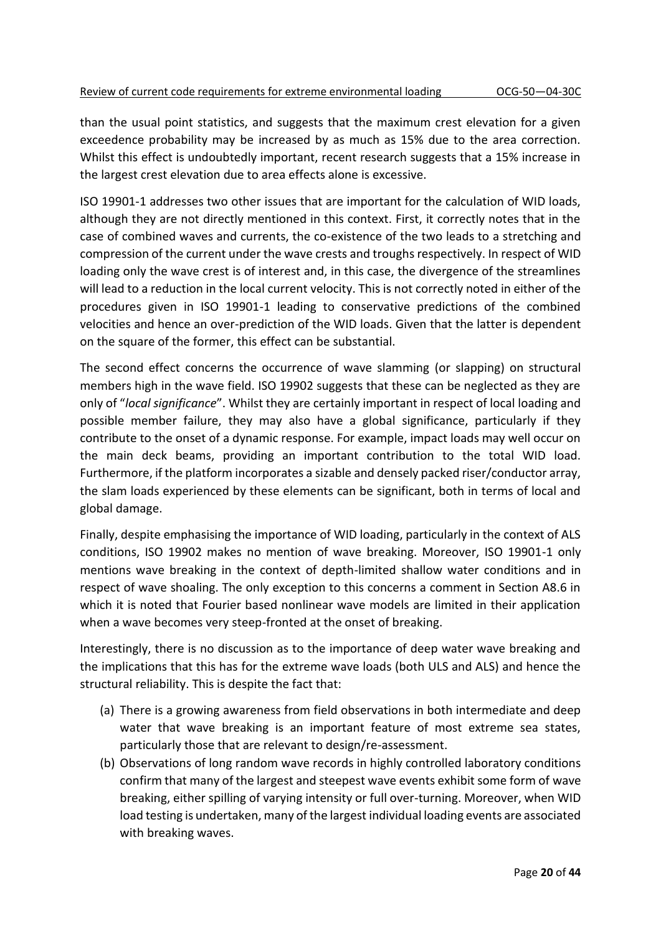than the usual point statistics, and suggests that the maximum crest elevation for a given exceedence probability may be increased by as much as 15% due to the area correction. Whilst this effect is undoubtedly important, recent research suggests that a 15% increase in the largest crest elevation due to area effects alone is excessive.

ISO 19901-1 addresses two other issues that are important for the calculation of WID loads, although they are not directly mentioned in this context. First, it correctly notes that in the case of combined waves and currents, the co-existence of the two leads to a stretching and compression of the current under the wave crests and troughs respectively. In respect of WID loading only the wave crest is of interest and, in this case, the divergence of the streamlines will lead to a reduction in the local current velocity. This is not correctly noted in either of the procedures given in ISO 19901-1 leading to conservative predictions of the combined velocities and hence an over-prediction of the WID loads. Given that the latter is dependent on the square of the former, this effect can be substantial.

The second effect concerns the occurrence of wave slamming (or slapping) on structural members high in the wave field. ISO 19902 suggests that these can be neglected as they are only of "*local significance*". Whilst they are certainly important in respect of local loading and possible member failure, they may also have a global significance, particularly if they contribute to the onset of a dynamic response. For example, impact loads may well occur on the main deck beams, providing an important contribution to the total WID load. Furthermore, if the platform incorporates a sizable and densely packed riser/conductor array, the slam loads experienced by these elements can be significant, both in terms of local and global damage.

Finally, despite emphasising the importance of WID loading, particularly in the context of ALS conditions, ISO 19902 makes no mention of wave breaking. Moreover, ISO 19901-1 only mentions wave breaking in the context of depth-limited shallow water conditions and in respect of wave shoaling. The only exception to this concerns a comment in Section A8.6 in which it is noted that Fourier based nonlinear wave models are limited in their application when a wave becomes very steep-fronted at the onset of breaking.

Interestingly, there is no discussion as to the importance of deep water wave breaking and the implications that this has for the extreme wave loads (both ULS and ALS) and hence the structural reliability. This is despite the fact that:

- (a) There is a growing awareness from field observations in both intermediate and deep water that wave breaking is an important feature of most extreme sea states, particularly those that are relevant to design/re-assessment.
- (b) Observations of long random wave records in highly controlled laboratory conditions confirm that many of the largest and steepest wave events exhibit some form of wave breaking, either spilling of varying intensity or full over-turning. Moreover, when WID load testing is undertaken, many of the largest individual loading events are associated with breaking waves.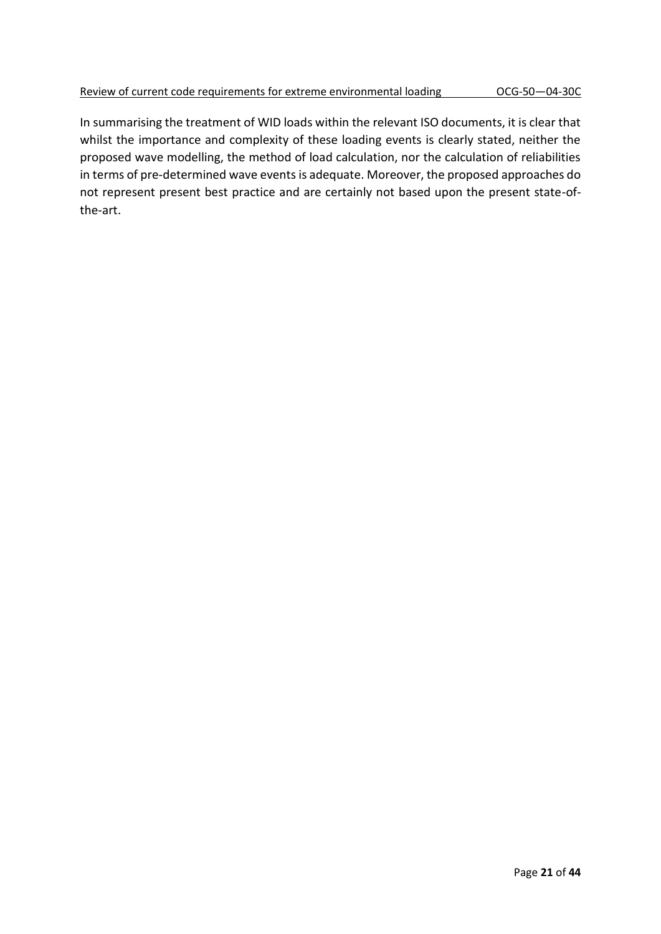In summarising the treatment of WID loads within the relevant ISO documents, it is clear that whilst the importance and complexity of these loading events is clearly stated, neither the proposed wave modelling, the method of load calculation, nor the calculation of reliabilities in terms of pre-determined wave events is adequate. Moreover, the proposed approaches do not represent present best practice and are certainly not based upon the present state-ofthe-art.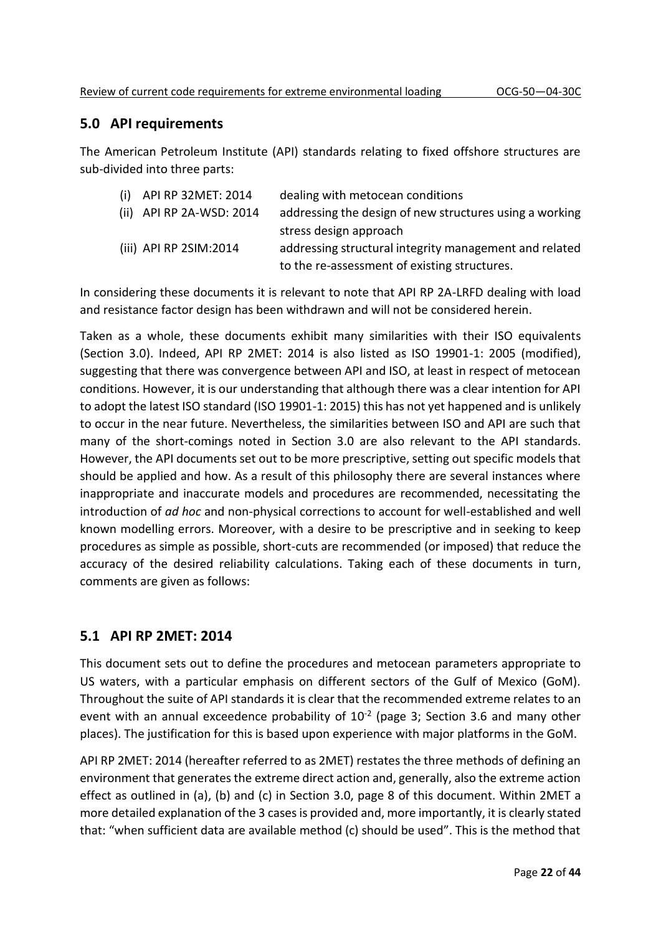### **5.0 API requirements**

The American Petroleum Institute (API) standards relating to fixed offshore structures are sub-divided into three parts:

| $(i)$ API RP 32MET: 2014 | dealing with metocean conditions                        |
|--------------------------|---------------------------------------------------------|
| (ii) API RP 2A-WSD: 2014 | addressing the design of new structures using a working |
|                          | stress design approach                                  |
| (iii) API RP 2SIM:2014   | addressing structural integrity management and related  |
|                          | to the re-assessment of existing structures.            |

In considering these documents it is relevant to note that API RP 2A-LRFD dealing with load and resistance factor design has been withdrawn and will not be considered herein.

Taken as a whole, these documents exhibit many similarities with their ISO equivalents (Section 3.0). Indeed, API RP 2MET: 2014 is also listed as ISO 19901-1: 2005 (modified), suggesting that there was convergence between API and ISO, at least in respect of metocean conditions. However, it is our understanding that although there was a clear intention for API to adopt the latest ISO standard (ISO 19901-1: 2015) this has not yet happened and is unlikely to occur in the near future. Nevertheless, the similarities between ISO and API are such that many of the short-comings noted in Section 3.0 are also relevant to the API standards. However, the API documents set out to be more prescriptive, setting out specific models that should be applied and how. As a result of this philosophy there are several instances where inappropriate and inaccurate models and procedures are recommended, necessitating the introduction of *ad hoc* and non-physical corrections to account for well-established and well known modelling errors. Moreover, with a desire to be prescriptive and in seeking to keep procedures as simple as possible, short-cuts are recommended (or imposed) that reduce the accuracy of the desired reliability calculations. Taking each of these documents in turn, comments are given as follows:

#### **5.1 API RP 2MET: 2014**

This document sets out to define the procedures and metocean parameters appropriate to US waters, with a particular emphasis on different sectors of the Gulf of Mexico (GoM). Throughout the suite of API standards it is clear that the recommended extreme relates to an event with an annual exceedence probability of  $10^{-2}$  (page 3; Section 3.6 and many other places). The justification for this is based upon experience with major platforms in the GoM.

API RP 2MET: 2014 (hereafter referred to as 2MET) restates the three methods of defining an environment that generates the extreme direct action and, generally, also the extreme action effect as outlined in (a), (b) and (c) in Section 3.0, page 8 of this document. Within 2MET a more detailed explanation of the 3 cases is provided and, more importantly, it is clearly stated that: "when sufficient data are available method (c) should be used". This is the method that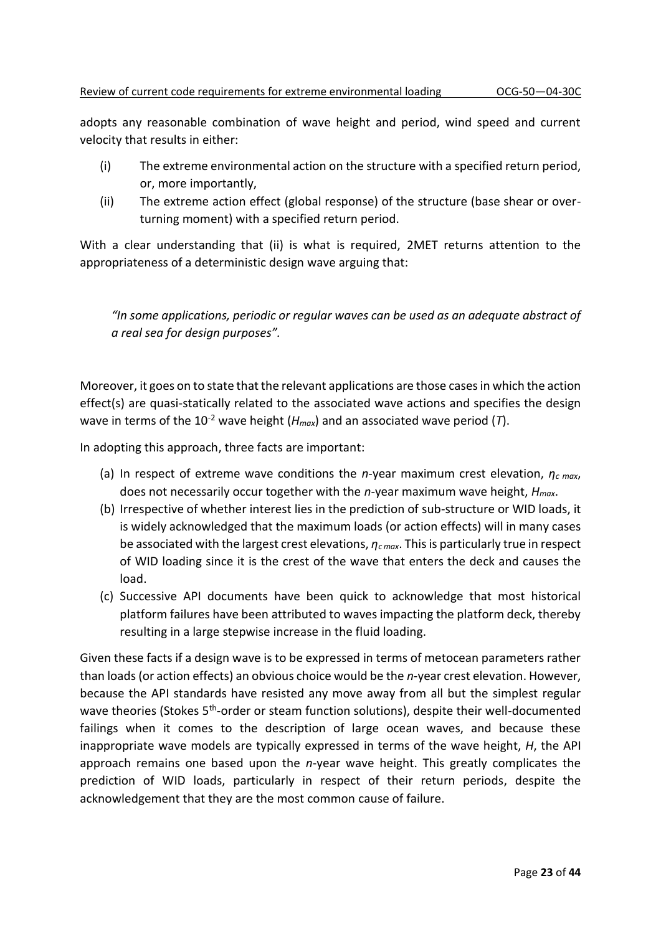adopts any reasonable combination of wave height and period, wind speed and current velocity that results in either:

- (i) The extreme environmental action on the structure with a specified return period, or, more importantly,
- (ii) The extreme action effect (global response) of the structure (base shear or overturning moment) with a specified return period.

With a clear understanding that (ii) is what is required, 2MET returns attention to the appropriateness of a deterministic design wave arguing that:

*"In some applications, periodic or regular waves can be used as an adequate abstract of a real sea for design purposes".*

Moreover, it goes on to state that the relevant applications are those cases in which the action effect(s) are quasi-statically related to the associated wave actions and specifies the design wave in terms of the 10<sup>-2</sup> wave height ( $H_{max}$ ) and an associated wave period (*T*).

In adopting this approach, three facts are important:

- (a) In respect of extreme wave conditions the *n*-year maximum crest elevation, *η<sup>c</sup> max*, does not necessarily occur together with the *n*-year maximum wave height, *Hmax*.
- (b) Irrespective of whether interest lies in the prediction of sub-structure or WID loads, it is widely acknowledged that the maximum loads (or action effects) will in many cases be associated with the largest crest elevations, *ηc max*. This is particularly true in respect of WID loading since it is the crest of the wave that enters the deck and causes the load.
- (c) Successive API documents have been quick to acknowledge that most historical platform failures have been attributed to waves impacting the platform deck, thereby resulting in a large stepwise increase in the fluid loading.

Given these facts if a design wave is to be expressed in terms of metocean parameters rather than loads (or action effects) an obvious choice would be the *n*-year crest elevation. However, because the API standards have resisted any move away from all but the simplest regular wave theories (Stokes 5<sup>th</sup>-order or steam function solutions), despite their well-documented failings when it comes to the description of large ocean waves, and because these inappropriate wave models are typically expressed in terms of the wave height, *H*, the API approach remains one based upon the *n*-year wave height. This greatly complicates the prediction of WID loads, particularly in respect of their return periods, despite the acknowledgement that they are the most common cause of failure.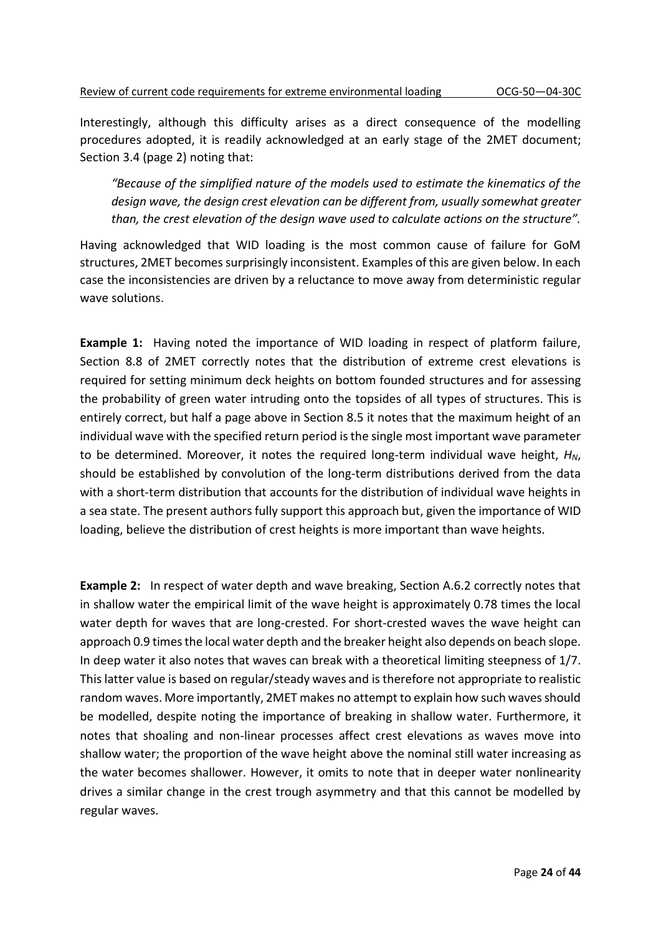Interestingly, although this difficulty arises as a direct consequence of the modelling procedures adopted, it is readily acknowledged at an early stage of the 2MET document; Section 3.4 (page 2) noting that:

*"Because of the simplified nature of the models used to estimate the kinematics of the design wave, the design crest elevation can be different from, usually somewhat greater than, the crest elevation of the design wave used to calculate actions on the structure".*

Having acknowledged that WID loading is the most common cause of failure for GoM structures, 2MET becomes surprisingly inconsistent. Examples of this are given below. In each case the inconsistencies are driven by a reluctance to move away from deterministic regular wave solutions.

**Example 1:** Having noted the importance of WID loading in respect of platform failure, Section 8.8 of 2MET correctly notes that the distribution of extreme crest elevations is required for setting minimum deck heights on bottom founded structures and for assessing the probability of green water intruding onto the topsides of all types of structures. This is entirely correct, but half a page above in Section 8.5 it notes that the maximum height of an individual wave with the specified return period is the single most important wave parameter to be determined. Moreover, it notes the required long-term individual wave height, *HN*, should be established by convolution of the long-term distributions derived from the data with a short-term distribution that accounts for the distribution of individual wave heights in a sea state. The present authors fully support this approach but, given the importance of WID loading, believe the distribution of crest heights is more important than wave heights.

**Example 2:** In respect of water depth and wave breaking, Section A.6.2 correctly notes that in shallow water the empirical limit of the wave height is approximately 0.78 times the local water depth for waves that are long-crested. For short-crested waves the wave height can approach 0.9 times the local water depth and the breaker height also depends on beach slope. In deep water it also notes that waves can break with a theoretical limiting steepness of 1/7. This latter value is based on regular/steady waves and is therefore not appropriate to realistic random waves. More importantly, 2MET makes no attempt to explain how such waves should be modelled, despite noting the importance of breaking in shallow water. Furthermore, it notes that shoaling and non-linear processes affect crest elevations as waves move into shallow water; the proportion of the wave height above the nominal still water increasing as the water becomes shallower. However, it omits to note that in deeper water nonlinearity drives a similar change in the crest trough asymmetry and that this cannot be modelled by regular waves.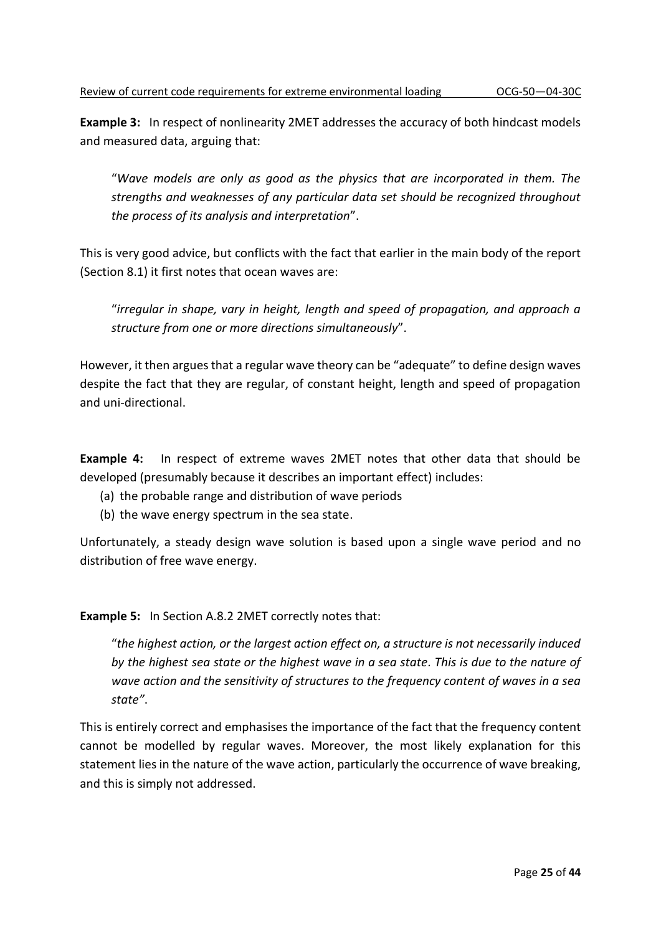**Example 3:** In respect of nonlinearity 2MET addresses the accuracy of both hindcast models and measured data, arguing that:

"*Wave models are only as good as the physics that are incorporated in them. The strengths and weaknesses of any particular data set should be recognized throughout the process of its analysis and interpretation*".

This is very good advice, but conflicts with the fact that earlier in the main body of the report (Section 8.1) it first notes that ocean waves are:

"*irregular in shape, vary in height, length and speed of propagation, and approach a structure from one or more directions simultaneously*".

However, it then argues that a regular wave theory can be "adequate" to define design waves despite the fact that they are regular, of constant height, length and speed of propagation and uni-directional.

**Example 4:** In respect of extreme waves 2MET notes that other data that should be developed (presumably because it describes an important effect) includes:

- (a) the probable range and distribution of wave periods
- (b) the wave energy spectrum in the sea state.

Unfortunately, a steady design wave solution is based upon a single wave period and no distribution of free wave energy.

**Example 5:** In Section A.8.2 2MET correctly notes that:

"*the highest action, or the largest action effect on, a structure is not necessarily induced by the highest sea state or the highest wave in a sea state. This is due to the nature of wave action and the sensitivity of structures to the frequency content of waves in a sea state"*.

This is entirely correct and emphasises the importance of the fact that the frequency content cannot be modelled by regular waves. Moreover, the most likely explanation for this statement lies in the nature of the wave action, particularly the occurrence of wave breaking, and this is simply not addressed.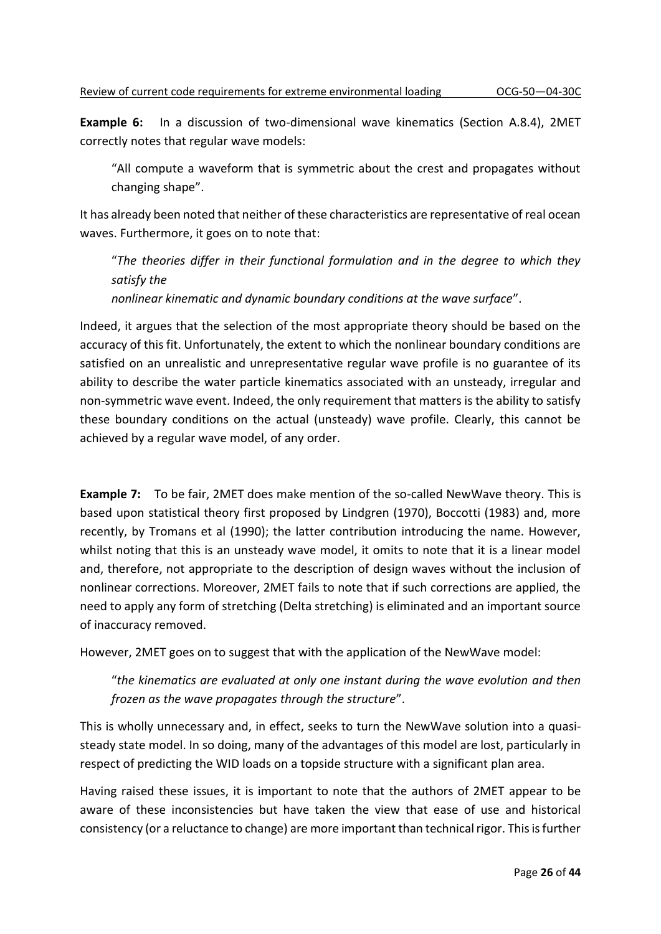**Example 6:** In a discussion of two-dimensional wave kinematics (Section A.8.4), 2MET correctly notes that regular wave models:

"All compute a waveform that is symmetric about the crest and propagates without changing shape".

It has already been noted that neither of these characteristics are representative of real ocean waves. Furthermore, it goes on to note that:

"*The theories differ in their functional formulation and in the degree to which they satisfy the*

*nonlinear kinematic and dynamic boundary conditions at the wave surface*".

Indeed, it argues that the selection of the most appropriate theory should be based on the accuracy of this fit. Unfortunately, the extent to which the nonlinear boundary conditions are satisfied on an unrealistic and unrepresentative regular wave profile is no guarantee of its ability to describe the water particle kinematics associated with an unsteady, irregular and non-symmetric wave event. Indeed, the only requirement that matters is the ability to satisfy these boundary conditions on the actual (unsteady) wave profile. Clearly, this cannot be achieved by a regular wave model, of any order.

**Example 7:** To be fair, 2MET does make mention of the so-called NewWave theory. This is based upon statistical theory first proposed by Lindgren (1970), Boccotti (1983) and, more recently, by Tromans et al (1990); the latter contribution introducing the name. However, whilst noting that this is an unsteady wave model, it omits to note that it is a linear model and, therefore, not appropriate to the description of design waves without the inclusion of nonlinear corrections. Moreover, 2MET fails to note that if such corrections are applied, the need to apply any form of stretching (Delta stretching) is eliminated and an important source of inaccuracy removed.

However, 2MET goes on to suggest that with the application of the NewWave model:

"*the kinematics are evaluated at only one instant during the wave evolution and then frozen as the wave propagates through the structure*".

This is wholly unnecessary and, in effect, seeks to turn the NewWave solution into a quasisteady state model. In so doing, many of the advantages of this model are lost, particularly in respect of predicting the WID loads on a topside structure with a significant plan area.

Having raised these issues, it is important to note that the authors of 2MET appear to be aware of these inconsistencies but have taken the view that ease of use and historical consistency (or a reluctance to change) are more important than technical rigor. This is further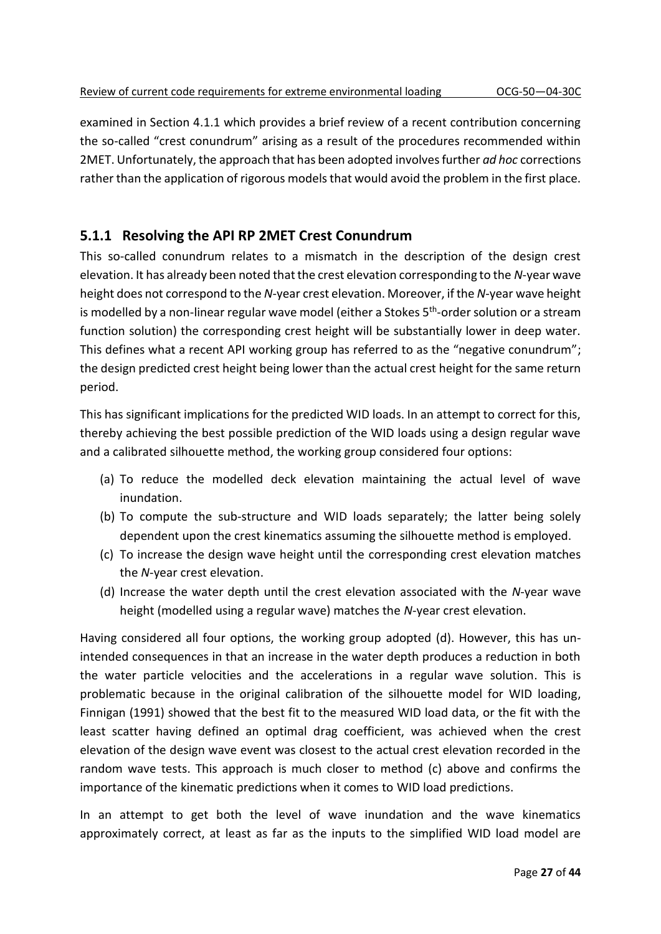examined in Section 4.1.1 which provides a brief review of a recent contribution concerning the so-called "crest conundrum" arising as a result of the procedures recommended within 2MET. Unfortunately, the approach that has been adopted involves further *ad hoc* corrections rather than the application of rigorous models that would avoid the problem in the first place.

## **5.1.1 Resolving the API RP 2MET Crest Conundrum**

This so-called conundrum relates to a mismatch in the description of the design crest elevation. It has already been noted that the crest elevation corresponding to the *N*-year wave height does not correspond to the *N*-year crest elevation. Moreover, if the *N*-year wave height is modelled by a non-linear regular wave model (either a Stokes 5<sup>th</sup>-order solution or a stream function solution) the corresponding crest height will be substantially lower in deep water. This defines what a recent API working group has referred to as the "negative conundrum"; the design predicted crest height being lower than the actual crest height for the same return period.

This has significant implications for the predicted WID loads. In an attempt to correct for this, thereby achieving the best possible prediction of the WID loads using a design regular wave and a calibrated silhouette method, the working group considered four options:

- (a) To reduce the modelled deck elevation maintaining the actual level of wave inundation.
- (b) To compute the sub-structure and WID loads separately; the latter being solely dependent upon the crest kinematics assuming the silhouette method is employed.
- (c) To increase the design wave height until the corresponding crest elevation matches the *N*-year crest elevation.
- (d) Increase the water depth until the crest elevation associated with the *N*-year wave height (modelled using a regular wave) matches the *N*-year crest elevation.

Having considered all four options, the working group adopted (d). However, this has unintended consequences in that an increase in the water depth produces a reduction in both the water particle velocities and the accelerations in a regular wave solution. This is problematic because in the original calibration of the silhouette model for WID loading, Finnigan (1991) showed that the best fit to the measured WID load data, or the fit with the least scatter having defined an optimal drag coefficient, was achieved when the crest elevation of the design wave event was closest to the actual crest elevation recorded in the random wave tests. This approach is much closer to method (c) above and confirms the importance of the kinematic predictions when it comes to WID load predictions.

In an attempt to get both the level of wave inundation and the wave kinematics approximately correct, at least as far as the inputs to the simplified WID load model are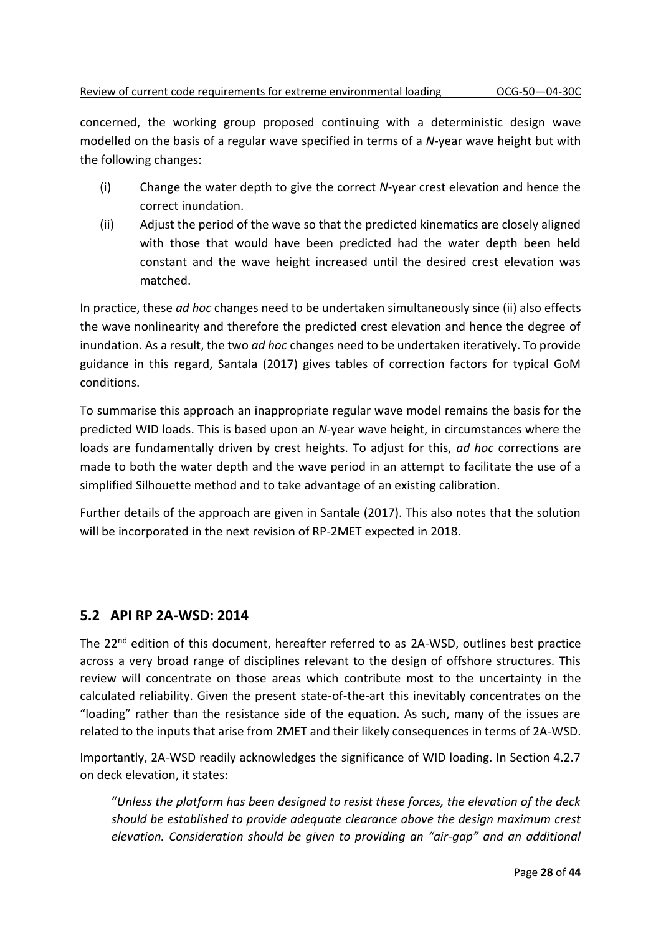concerned, the working group proposed continuing with a deterministic design wave modelled on the basis of a regular wave specified in terms of a *N*-year wave height but with the following changes:

- (i) Change the water depth to give the correct *N*-year crest elevation and hence the correct inundation.
- (ii) Adjust the period of the wave so that the predicted kinematics are closely aligned with those that would have been predicted had the water depth been held constant and the wave height increased until the desired crest elevation was matched.

In practice, these *ad hoc* changes need to be undertaken simultaneously since (ii) also effects the wave nonlinearity and therefore the predicted crest elevation and hence the degree of inundation. As a result, the two *ad hoc* changes need to be undertaken iteratively. To provide guidance in this regard, Santala (2017) gives tables of correction factors for typical GoM conditions.

To summarise this approach an inappropriate regular wave model remains the basis for the predicted WID loads. This is based upon an *N*-year wave height, in circumstances where the loads are fundamentally driven by crest heights. To adjust for this, *ad hoc* corrections are made to both the water depth and the wave period in an attempt to facilitate the use of a simplified Silhouette method and to take advantage of an existing calibration.

Further details of the approach are given in Santale (2017). This also notes that the solution will be incorporated in the next revision of RP-2MET expected in 2018.

#### **5.2 API RP 2A-WSD: 2014**

The 22<sup>nd</sup> edition of this document, hereafter referred to as 2A-WSD, outlines best practice across a very broad range of disciplines relevant to the design of offshore structures. This review will concentrate on those areas which contribute most to the uncertainty in the calculated reliability. Given the present state-of-the-art this inevitably concentrates on the "loading" rather than the resistance side of the equation. As such, many of the issues are related to the inputs that arise from 2MET and their likely consequences in terms of 2A-WSD.

Importantly, 2A-WSD readily acknowledges the significance of WID loading. In Section 4.2.7 on deck elevation, it states:

"*Unless the platform has been designed to resist these forces, the elevation of the deck should be established to provide adequate clearance above the design maximum crest elevation. Consideration should be given to providing an "air-gap" and an additional*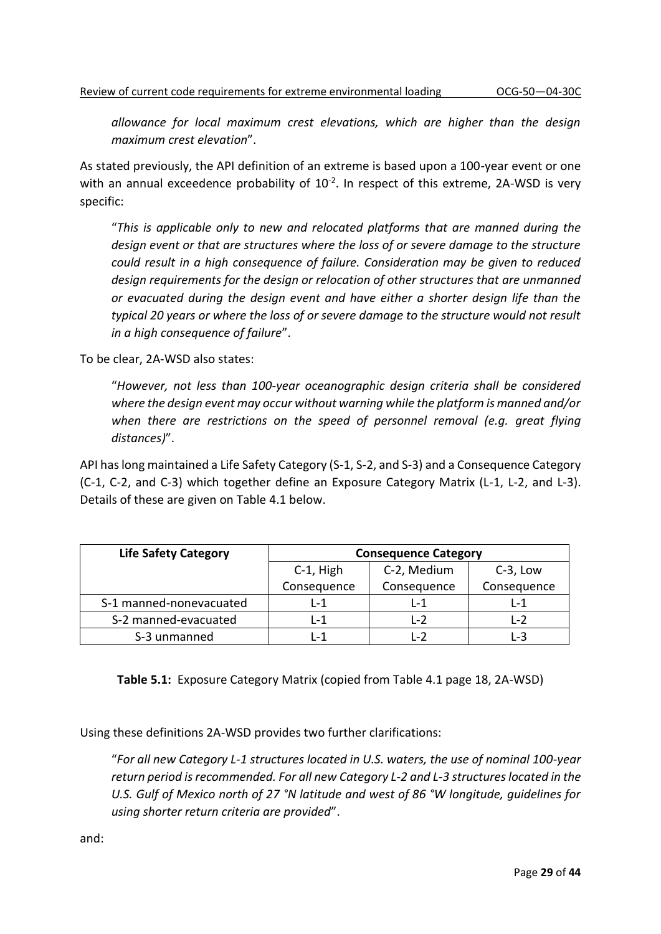*allowance for local maximum crest elevations, which are higher than the design maximum crest elevation*".

As stated previously, the API definition of an extreme is based upon a 100-year event or one with an annual exceedence probability of  $10^{-2}$ . In respect of this extreme, 2A-WSD is very specific:

"*This is applicable only to new and relocated platforms that are manned during the design event or that are structures where the loss of or severe damage to the structure could result in a high consequence of failure. Consideration may be given to reduced design requirements for the design or relocation of other structures that are unmanned or evacuated during the design event and have either a shorter design life than the typical 20 years or where the loss of or severe damage to the structure would not result in a high consequence of failure*".

To be clear, 2A-WSD also states:

"*However, not less than 100-year oceanographic design criteria shall be considered where the design event may occur without warning while the platform is manned and/or*  when there are restrictions on the speed of personnel removal (e.g. great flying *distances)*".

API has long maintained a Life Safety Category (S-1, S-2, and S-3) and a Consequence Category (C-1, C-2, and C-3) which together define an Exposure Category Matrix (L-1, L-2, and L-3). Details of these are given on Table 4.1 below.

| <b>Life Safety Category</b> | <b>Consequence Category</b> |             |             |
|-----------------------------|-----------------------------|-------------|-------------|
|                             | C-1, High                   | C-2, Medium | $C-3$ , Low |
|                             | Consequence                 | Consequence | Consequence |
| S-1 manned-nonevacuated     | $1 - 1$                     | l -1        | $1 - 1$     |
| S-2 manned-evacuated        | l -1                        | $\sim$      | $1-2$       |
| S-3 unmanned                | l -1                        | $-2$        | 1-3         |

**Table 5.1:** Exposure Category Matrix (copied from Table 4.1 page 18, 2A-WSD)

Using these definitions 2A-WSD provides two further clarifications:

"*For all new Category L-1 structures located in U.S. waters, the use of nominal 100-year return period is recommended. For all new Category L-2 and L-3 structures located in the U.S. Gulf of Mexico north of 27 °N latitude and west of 86 °W longitude, guidelines for using shorter return criteria are provided*".

and: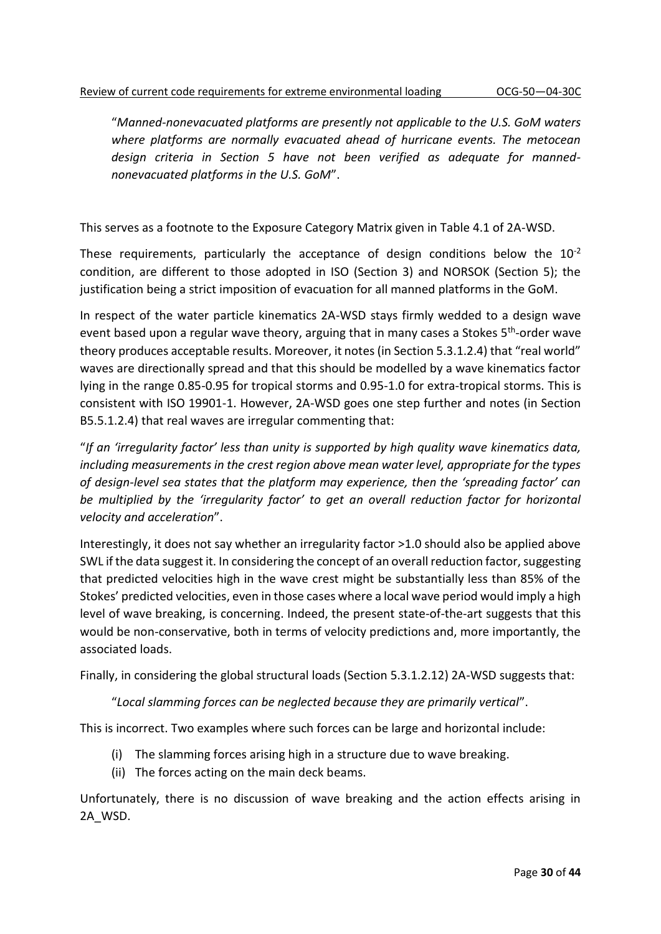"*Manned-nonevacuated platforms are presently not applicable to the U.S. GoM waters where platforms are normally evacuated ahead of hurricane events. The metocean design criteria in Section 5 have not been verified as adequate for mannednonevacuated platforms in the U.S. GoM*".

This serves as a footnote to the Exposure Category Matrix given in Table 4.1 of 2A-WSD.

These requirements, particularly the acceptance of design conditions below the  $10^{-2}$ condition, are different to those adopted in ISO (Section 3) and NORSOK (Section 5); the justification being a strict imposition of evacuation for all manned platforms in the GoM.

In respect of the water particle kinematics 2A-WSD stays firmly wedded to a design wave event based upon a regular wave theory, arguing that in many cases a Stokes 5<sup>th</sup>-order wave theory produces acceptable results. Moreover, it notes (in Section 5.3.1.2.4) that "real world" waves are directionally spread and that this should be modelled by a wave kinematics factor lying in the range 0.85-0.95 for tropical storms and 0.95-1.0 for extra-tropical storms. This is consistent with ISO 19901-1. However, 2A-WSD goes one step further and notes (in Section B5.5.1.2.4) that real waves are irregular commenting that:

"*If an 'irregularity factor' less than unity is supported by high quality wave kinematics data, including measurements in the crest region above mean water level, appropriate for the types of design-level sea states that the platform may experience, then the 'spreading factor' can be multiplied by the 'irregularity factor' to get an overall reduction factor for horizontal velocity and acceleration*".

Interestingly, it does not say whether an irregularity factor >1.0 should also be applied above SWL if the data suggest it. In considering the concept of an overall reduction factor, suggesting that predicted velocities high in the wave crest might be substantially less than 85% of the Stokes' predicted velocities, even in those cases where a local wave period would imply a high level of wave breaking, is concerning. Indeed, the present state-of-the-art suggests that this would be non-conservative, both in terms of velocity predictions and, more importantly, the associated loads.

Finally, in considering the global structural loads (Section 5.3.1.2.12) 2A-WSD suggests that:

#### "*Local slamming forces can be neglected because they are primarily vertical*".

This is incorrect. Two examples where such forces can be large and horizontal include:

- (i) The slamming forces arising high in a structure due to wave breaking.
- (ii) The forces acting on the main deck beams.

Unfortunately, there is no discussion of wave breaking and the action effects arising in 2A\_WSD.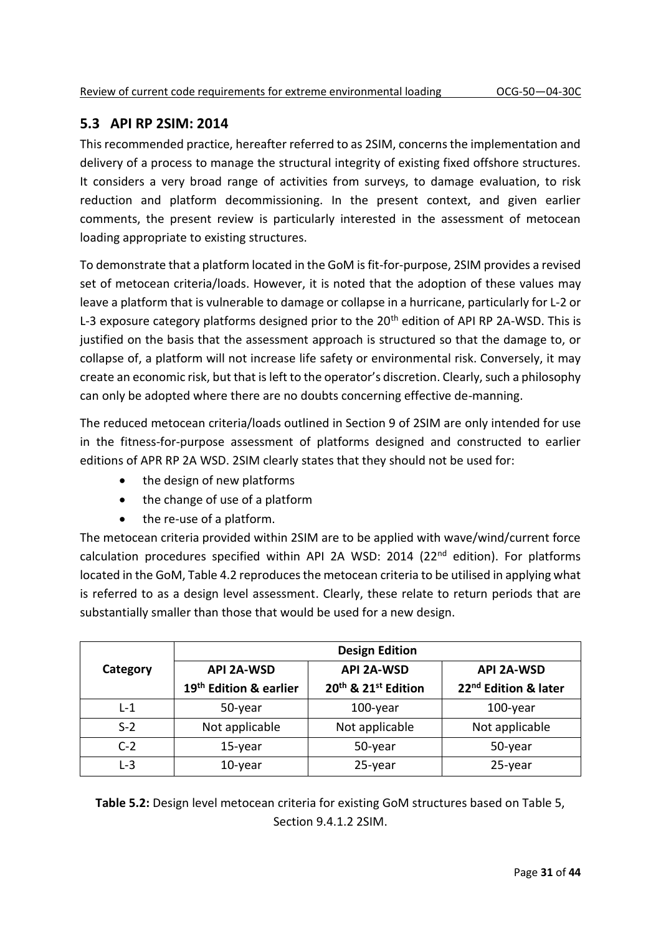## **5.3 API RP 2SIM: 2014**

This recommended practice, hereafter referred to as 2SIM, concerns the implementation and delivery of a process to manage the structural integrity of existing fixed offshore structures. It considers a very broad range of activities from surveys, to damage evaluation, to risk reduction and platform decommissioning. In the present context, and given earlier comments, the present review is particularly interested in the assessment of metocean loading appropriate to existing structures.

To demonstrate that a platform located in the GoM is fit-for-purpose, 2SIM provides a revised set of metocean criteria/loads. However, it is noted that the adoption of these values may leave a platform that is vulnerable to damage or collapse in a hurricane, particularly for L-2 or L-3 exposure category platforms designed prior to the  $20<sup>th</sup>$  edition of API RP 2A-WSD. This is justified on the basis that the assessment approach is structured so that the damage to, or collapse of, a platform will not increase life safety or environmental risk. Conversely, it may create an economic risk, but that is left to the operator's discretion. Clearly, such a philosophy can only be adopted where there are no doubts concerning effective de-manning.

The reduced metocean criteria/loads outlined in Section 9 of 2SIM are only intended for use in the fitness-for-purpose assessment of platforms designed and constructed to earlier editions of APR RP 2A WSD. 2SIM clearly states that they should not be used for:

- the design of new platforms
- the change of use of a platform
- the re-use of a platform.

The metocean criteria provided within 2SIM are to be applied with wave/wind/current force calculation procedures specified within API 2A WSD: 2014 (22<sup>nd</sup> edition). For platforms located in the GoM, Table 4.2 reproduces the metocean criteria to be utilised in applying what is referred to as a design level assessment. Clearly, these relate to return periods that are substantially smaller than those that would be used for a new design.

|          | <b>Design Edition</b>              |                                             |                                  |  |
|----------|------------------------------------|---------------------------------------------|----------------------------------|--|
| Category | <b>API 2A-WSD</b>                  | <b>API 2A-WSD</b>                           | <b>API 2A-WSD</b>                |  |
|          | 19 <sup>th</sup> Edition & earlier | 20 <sup>th</sup> & 21 <sup>st</sup> Edition | 22 <sup>nd</sup> Edition & later |  |
| $L-1$    | 50-year                            | $100$ -year                                 | $100$ -year                      |  |
| $S-2$    | Not applicable                     | Not applicable                              | Not applicable                   |  |
| $C-2$    | 15-year                            | 50-year                                     | 50-year                          |  |
| $L-3$    | 10-year                            | 25-year                                     | 25-year                          |  |

**Table 5.2:** Design level metocean criteria for existing GoM structures based on Table 5, Section 9.4.1.2 2SIM.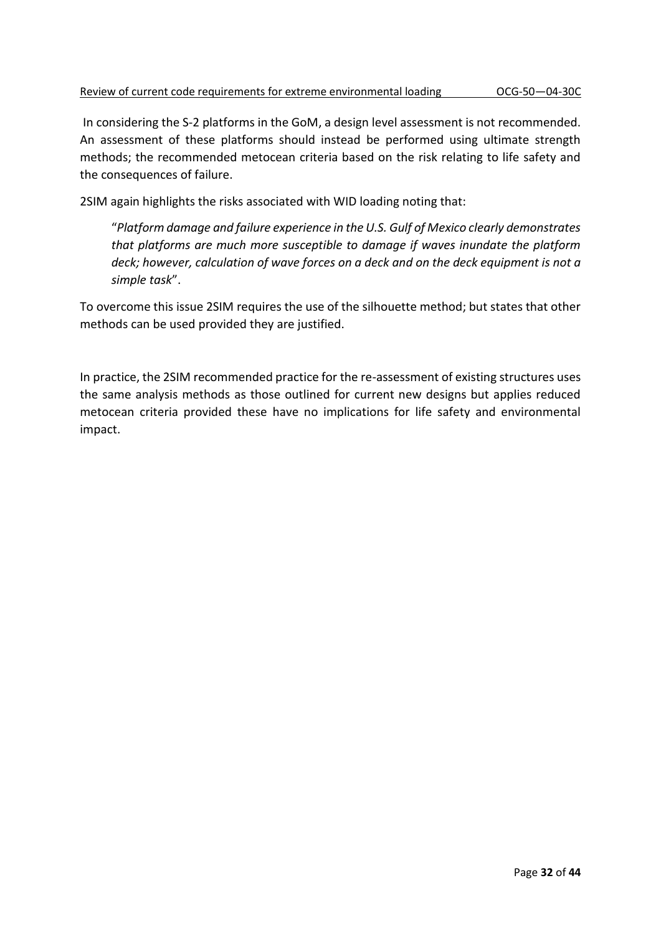In considering the S-2 platforms in the GoM, a design level assessment is not recommended. An assessment of these platforms should instead be performed using ultimate strength methods; the recommended metocean criteria based on the risk relating to life safety and the consequences of failure.

2SIM again highlights the risks associated with WID loading noting that:

"*Platform damage and failure experience in the U.S. Gulf of Mexico clearly demonstrates that platforms are much more susceptible to damage if waves inundate the platform deck; however, calculation of wave forces on a deck and on the deck equipment is not a simple task*".

To overcome this issue 2SIM requires the use of the silhouette method; but states that other methods can be used provided they are justified.

In practice, the 2SIM recommended practice for the re-assessment of existing structures uses the same analysis methods as those outlined for current new designs but applies reduced metocean criteria provided these have no implications for life safety and environmental impact.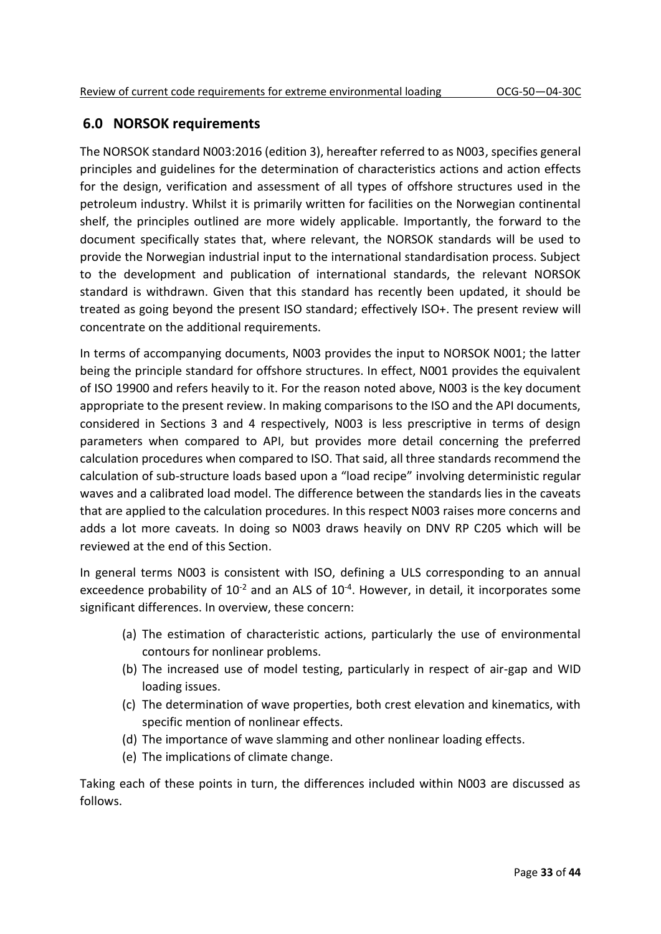## **6.0 NORSOK requirements**

The NORSOK standard N003:2016 (edition 3), hereafter referred to as N003, specifies general principles and guidelines for the determination of characteristics actions and action effects for the design, verification and assessment of all types of offshore structures used in the petroleum industry. Whilst it is primarily written for facilities on the Norwegian continental shelf, the principles outlined are more widely applicable. Importantly, the forward to the document specifically states that, where relevant, the NORSOK standards will be used to provide the Norwegian industrial input to the international standardisation process. Subject to the development and publication of international standards, the relevant NORSOK standard is withdrawn. Given that this standard has recently been updated, it should be treated as going beyond the present ISO standard; effectively ISO+. The present review will concentrate on the additional requirements.

In terms of accompanying documents, N003 provides the input to NORSOK N001; the latter being the principle standard for offshore structures. In effect, N001 provides the equivalent of ISO 19900 and refers heavily to it. For the reason noted above, N003 is the key document appropriate to the present review. In making comparisons to the ISO and the API documents, considered in Sections 3 and 4 respectively, N003 is less prescriptive in terms of design parameters when compared to API, but provides more detail concerning the preferred calculation procedures when compared to ISO. That said, all three standards recommend the calculation of sub-structure loads based upon a "load recipe" involving deterministic regular waves and a calibrated load model. The difference between the standards lies in the caveats that are applied to the calculation procedures. In this respect N003 raises more concerns and adds a lot more caveats. In doing so N003 draws heavily on DNV RP C205 which will be reviewed at the end of this Section.

In general terms N003 is consistent with ISO, defining a ULS corresponding to an annual exceedence probability of  $10^{-2}$  and an ALS of  $10^{-4}$ . However, in detail, it incorporates some significant differences. In overview, these concern:

- (a) The estimation of characteristic actions, particularly the use of environmental contours for nonlinear problems.
- (b) The increased use of model testing, particularly in respect of air-gap and WID loading issues.
- (c) The determination of wave properties, both crest elevation and kinematics, with specific mention of nonlinear effects.
- (d) The importance of wave slamming and other nonlinear loading effects.
- (e) The implications of climate change.

Taking each of these points in turn, the differences included within N003 are discussed as follows.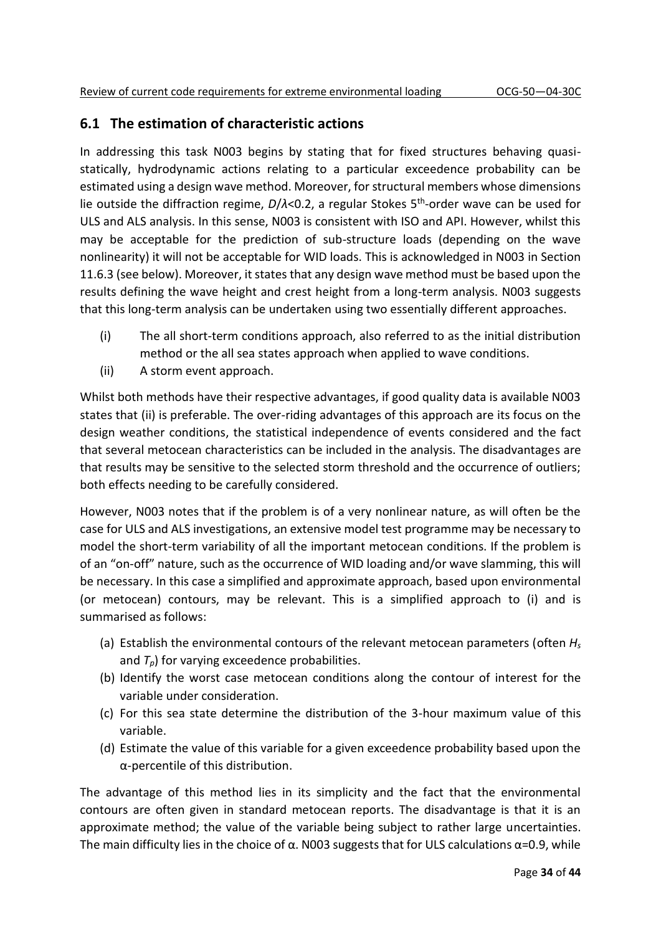## **6.1 The estimation of characteristic actions**

In addressing this task N003 begins by stating that for fixed structures behaving quasistatically, hydrodynamic actions relating to a particular exceedence probability can be estimated using a design wave method. Moreover, for structural members whose dimensions lie outside the diffraction regime, *D*/*λ*<0.2, a regular Stokes 5<sup>th</sup>-order wave can be used for ULS and ALS analysis. In this sense, N003 is consistent with ISO and API. However, whilst this may be acceptable for the prediction of sub-structure loads (depending on the wave nonlinearity) it will not be acceptable for WID loads. This is acknowledged in N003 in Section 11.6.3 (see below). Moreover, it states that any design wave method must be based upon the results defining the wave height and crest height from a long-term analysis. N003 suggests that this long-term analysis can be undertaken using two essentially different approaches.

- (i) The all short-term conditions approach, also referred to as the initial distribution method or the all sea states approach when applied to wave conditions.
- (ii) A storm event approach.

Whilst both methods have their respective advantages, if good quality data is available N003 states that (ii) is preferable. The over-riding advantages of this approach are its focus on the design weather conditions, the statistical independence of events considered and the fact that several metocean characteristics can be included in the analysis. The disadvantages are that results may be sensitive to the selected storm threshold and the occurrence of outliers; both effects needing to be carefully considered.

However, N003 notes that if the problem is of a very nonlinear nature, as will often be the case for ULS and ALS investigations, an extensive model test programme may be necessary to model the short-term variability of all the important metocean conditions. If the problem is of an "on-off" nature, such as the occurrence of WID loading and/or wave slamming, this will be necessary. In this case a simplified and approximate approach, based upon environmental (or metocean) contours, may be relevant. This is a simplified approach to (i) and is summarised as follows:

- (a) Establish the environmental contours of the relevant metocean parameters (often *H<sup>s</sup>* and  $T_p$ ) for varying exceedence probabilities.
- (b) Identify the worst case metocean conditions along the contour of interest for the variable under consideration.
- (c) For this sea state determine the distribution of the 3-hour maximum value of this variable.
- (d) Estimate the value of this variable for a given exceedence probability based upon the α-percentile of this distribution.

The advantage of this method lies in its simplicity and the fact that the environmental contours are often given in standard metocean reports. The disadvantage is that it is an approximate method; the value of the variable being subject to rather large uncertainties. The main difficulty lies in the choice of  $\alpha$ . N003 suggests that for ULS calculations  $\alpha$ =0.9, while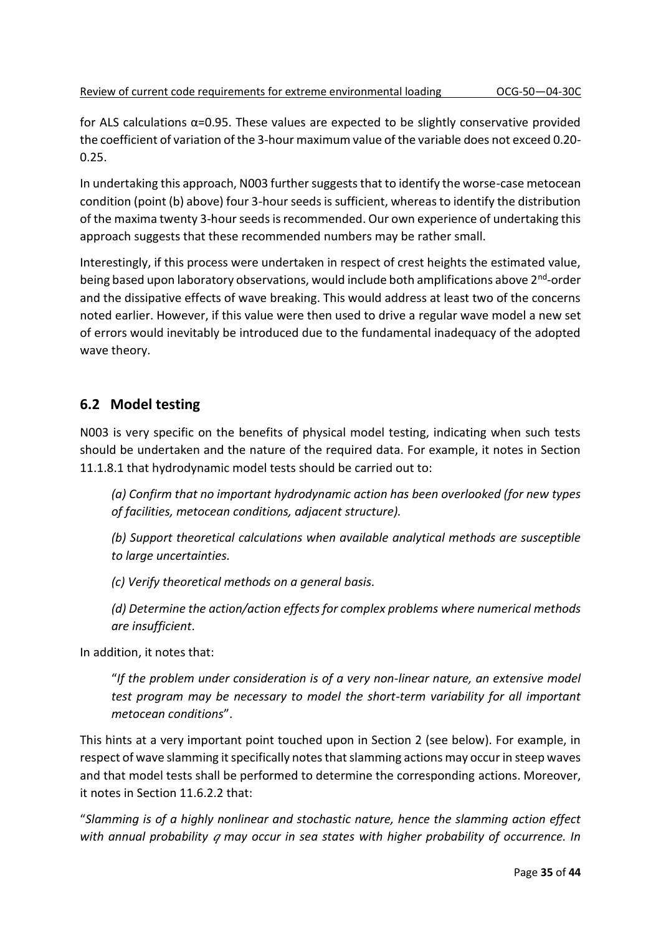for ALS calculations  $\alpha$ =0.95. These values are expected to be slightly conservative provided the coefficient of variation of the 3-hour maximum value of the variable does not exceed 0.20- 0.25.

In undertaking this approach, N003 further suggests that to identify the worse-case metocean condition (point (b) above) four 3-hour seeds is sufficient, whereas to identify the distribution of the maxima twenty 3-hour seeds is recommended. Our own experience of undertaking this approach suggests that these recommended numbers may be rather small.

Interestingly, if this process were undertaken in respect of crest heights the estimated value, being based upon laboratory observations, would include both amplifications above 2<sup>nd</sup>-order and the dissipative effects of wave breaking. This would address at least two of the concerns noted earlier. However, if this value were then used to drive a regular wave model a new set of errors would inevitably be introduced due to the fundamental inadequacy of the adopted wave theory.

## **6.2 Model testing**

N003 is very specific on the benefits of physical model testing, indicating when such tests should be undertaken and the nature of the required data. For example, it notes in Section 11.1.8.1 that hydrodynamic model tests should be carried out to:

*(a) Confirm that no important hydrodynamic action has been overlooked (for new types of facilities, metocean conditions, adjacent structure).*

*(b) Support theoretical calculations when available analytical methods are susceptible to large uncertainties.*

*(c) Verify theoretical methods on a general basis.*

*(d) Determine the action/action effects for complex problems where numerical methods are insufficient*.

In addition, it notes that:

"*If the problem under consideration is of a very non-linear nature, an extensive model test program may be necessary to model the short-term variability for all important metocean conditions*".

This hints at a very important point touched upon in Section 2 (see below). For example, in respect of wave slamming it specifically notes that slamming actions may occur in steep waves and that model tests shall be performed to determine the corresponding actions. Moreover, it notes in Section 11.6.2.2 that:

"*Slamming is of a highly nonlinear and stochastic nature, hence the slamming action effect with annual probability may occur in sea states with higher probability of occurrence. In*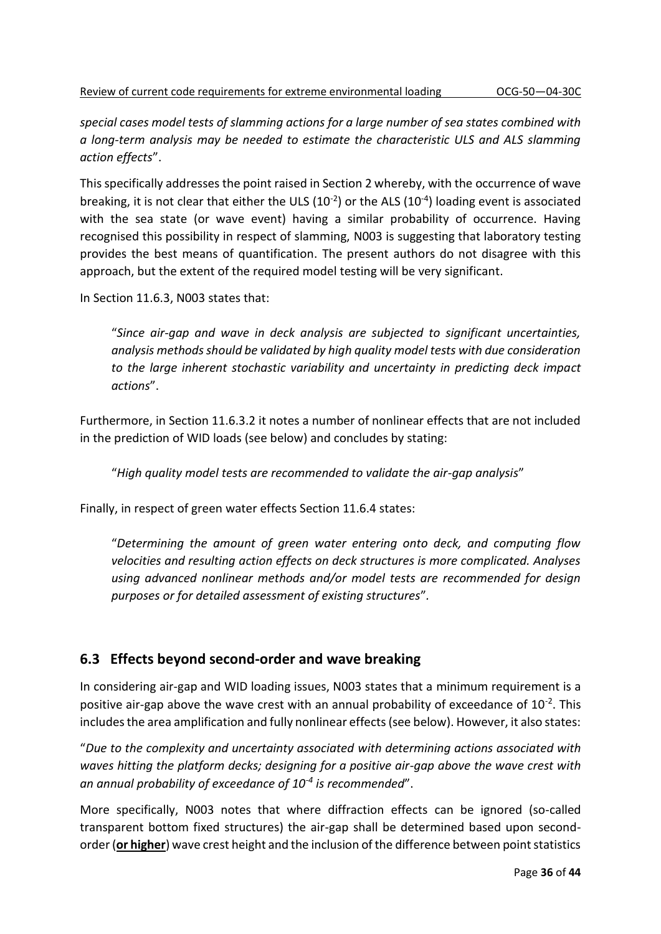*special cases model tests of slamming actions for a large number of sea states combined with a long-term analysis may be needed to estimate the characteristic ULS and ALS slamming action effects*".

This specifically addresses the point raised in Section 2 whereby, with the occurrence of wave breaking, it is not clear that either the ULS  $(10^{-2})$  or the ALS  $(10^{-4})$  loading event is associated with the sea state (or wave event) having a similar probability of occurrence. Having recognised this possibility in respect of slamming, N003 is suggesting that laboratory testing provides the best means of quantification. The present authors do not disagree with this approach, but the extent of the required model testing will be very significant.

In Section 11.6.3, N003 states that:

"*Since air-gap and wave in deck analysis are subjected to significant uncertainties, analysis methods should be validated by high quality model tests with due consideration to the large inherent stochastic variability and uncertainty in predicting deck impact actions*".

Furthermore, in Section 11.6.3.2 it notes a number of nonlinear effects that are not included in the prediction of WID loads (see below) and concludes by stating:

"*High quality model tests are recommended to validate the air-gap analysis*"

Finally, in respect of green water effects Section 11.6.4 states:

"*Determining the amount of green water entering onto deck, and computing flow velocities and resulting action effects on deck structures is more complicated. Analyses using advanced nonlinear methods and/or model tests are recommended for design purposes or for detailed assessment of existing structures*"*.*

## **6.3 Effects beyond second-order and wave breaking**

In considering air-gap and WID loading issues, N003 states that a minimum requirement is a positive air-gap above the wave crest with an annual probability of exceedance of  $10^{-2}$ . This includes the area amplification and fully nonlinear effects (see below). However, it also states:

"*Due to the complexity and uncertainty associated with determining actions associated with waves hitting the platform decks; designing for a positive air-gap above the wave crest with an annual probability of exceedance of 10-4 is recommended*".

More specifically, N003 notes that where diffraction effects can be ignored (so-called transparent bottom fixed structures) the air-gap shall be determined based upon secondorder (**or higher**) wave crest height and the inclusion of the difference between point statistics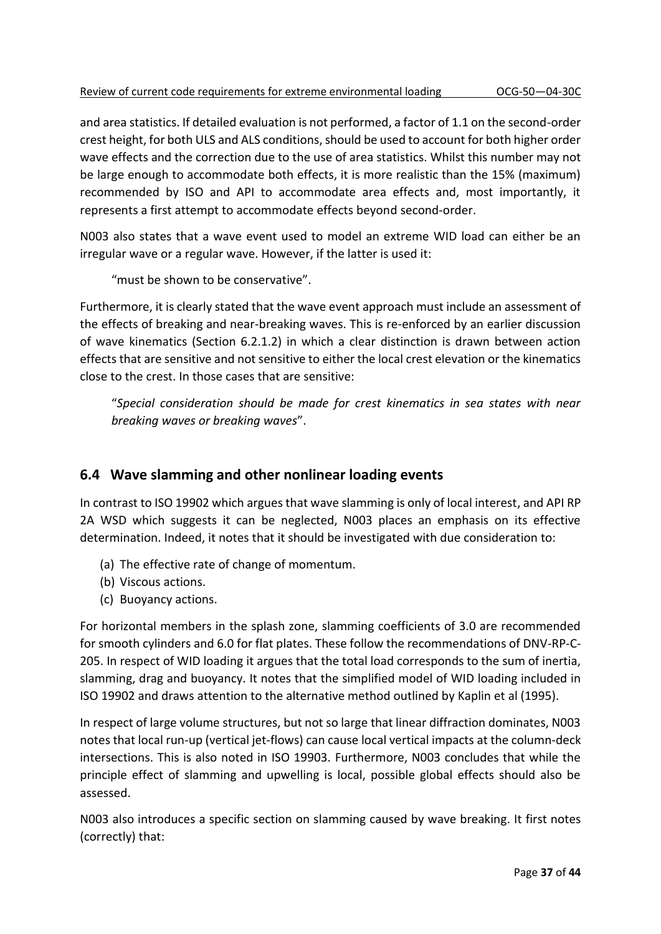and area statistics. If detailed evaluation is not performed, a factor of 1.1 on the second-order crest height, for both ULS and ALS conditions, should be used to account for both higher order wave effects and the correction due to the use of area statistics. Whilst this number may not be large enough to accommodate both effects, it is more realistic than the 15% (maximum) recommended by ISO and API to accommodate area effects and, most importantly, it represents a first attempt to accommodate effects beyond second-order.

N003 also states that a wave event used to model an extreme WID load can either be an irregular wave or a regular wave. However, if the latter is used it:

"must be shown to be conservative".

Furthermore, it is clearly stated that the wave event approach must include an assessment of the effects of breaking and near-breaking waves. This is re-enforced by an earlier discussion of wave kinematics (Section 6.2.1.2) in which a clear distinction is drawn between action effects that are sensitive and not sensitive to either the local crest elevation or the kinematics close to the crest. In those cases that are sensitive:

"*Special consideration should be made for crest kinematics in sea states with near breaking waves or breaking waves*".

## **6.4 Wave slamming and other nonlinear loading events**

In contrast to ISO 19902 which argues that wave slamming is only of local interest, and API RP 2A WSD which suggests it can be neglected, N003 places an emphasis on its effective determination. Indeed, it notes that it should be investigated with due consideration to:

- (a) The effective rate of change of momentum.
- (b) Viscous actions.
- (c) Buoyancy actions.

For horizontal members in the splash zone, slamming coefficients of 3.0 are recommended for smooth cylinders and 6.0 for flat plates. These follow the recommendations of DNV-RP-C-205. In respect of WID loading it argues that the total load corresponds to the sum of inertia, slamming, drag and buoyancy. It notes that the simplified model of WID loading included in ISO 19902 and draws attention to the alternative method outlined by Kaplin et al (1995).

In respect of large volume structures, but not so large that linear diffraction dominates, N003 notes that local run-up (vertical jet-flows) can cause local vertical impacts at the column-deck intersections. This is also noted in ISO 19903. Furthermore, N003 concludes that while the principle effect of slamming and upwelling is local, possible global effects should also be assessed.

N003 also introduces a specific section on slamming caused by wave breaking. It first notes (correctly) that: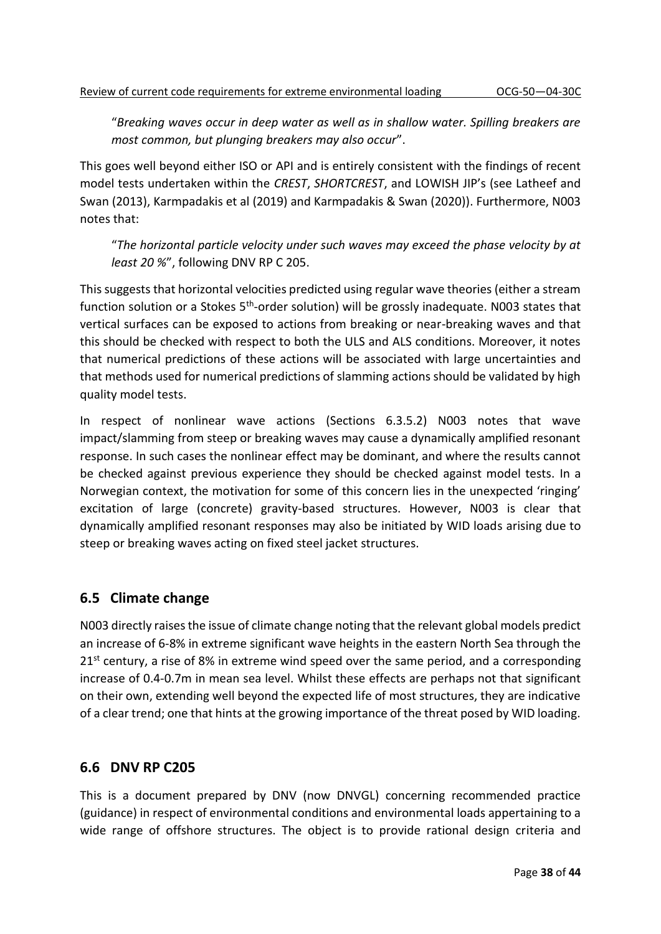"*Breaking waves occur in deep water as well as in shallow water. Spilling breakers are most common, but plunging breakers may also occur*".

This goes well beyond either ISO or API and is entirely consistent with the findings of recent model tests undertaken within the *CREST*, *SHORTCREST*, and LOWISH JIP's (see Latheef and Swan (2013), Karmpadakis et al (2019) and Karmpadakis & Swan (2020)). Furthermore, N003 notes that:

"*The horizontal particle velocity under such waves may exceed the phase velocity by at least 20 %*", following DNV RP C 205.

This suggests that horizontal velocities predicted using regular wave theories (either a stream function solution or a Stokes 5<sup>th</sup>-order solution) will be grossly inadequate. N003 states that vertical surfaces can be exposed to actions from breaking or near-breaking waves and that this should be checked with respect to both the ULS and ALS conditions. Moreover, it notes that numerical predictions of these actions will be associated with large uncertainties and that methods used for numerical predictions of slamming actions should be validated by high quality model tests.

In respect of nonlinear wave actions (Sections 6.3.5.2) N003 notes that wave impact/slamming from steep or breaking waves may cause a dynamically amplified resonant response. In such cases the nonlinear effect may be dominant, and where the results cannot be checked against previous experience they should be checked against model tests. In a Norwegian context, the motivation for some of this concern lies in the unexpected 'ringing' excitation of large (concrete) gravity-based structures. However, N003 is clear that dynamically amplified resonant responses may also be initiated by WID loads arising due to steep or breaking waves acting on fixed steel jacket structures.

## **6.5 Climate change**

N003 directly raises the issue of climate change noting that the relevant global models predict an increase of 6-8% in extreme significant wave heights in the eastern North Sea through the  $21<sup>st</sup>$  century, a rise of 8% in extreme wind speed over the same period, and a corresponding increase of 0.4-0.7m in mean sea level. Whilst these effects are perhaps not that significant on their own, extending well beyond the expected life of most structures, they are indicative of a clear trend; one that hints at the growing importance of the threat posed by WID loading.

## **6.6 DNV RP C205**

This is a document prepared by DNV (now DNVGL) concerning recommended practice (guidance) in respect of environmental conditions and environmental loads appertaining to a wide range of offshore structures. The object is to provide rational design criteria and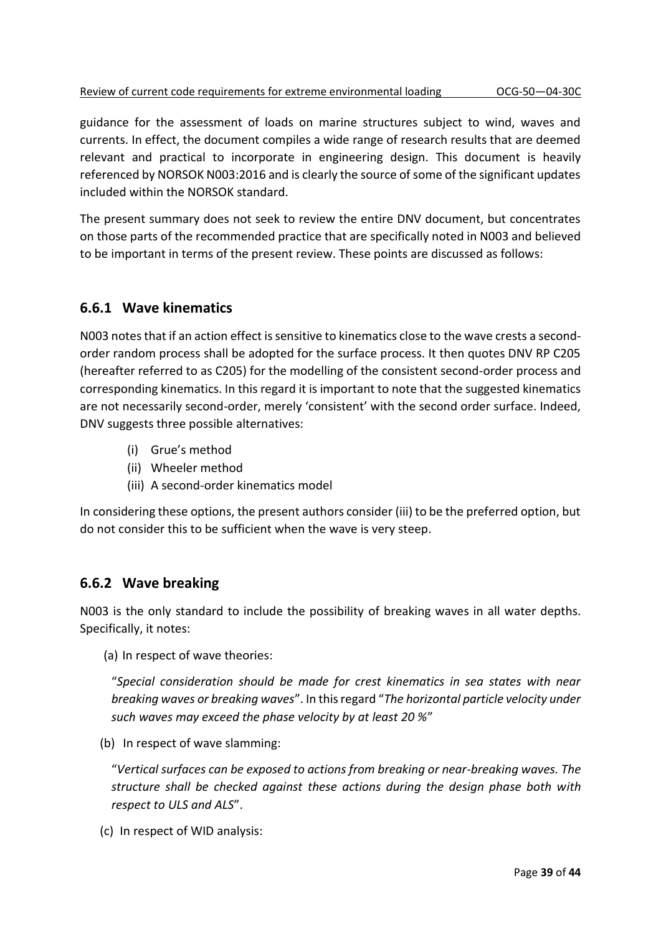guidance for the assessment of loads on marine structures subject to wind, waves and currents. In effect, the document compiles a wide range of research results that are deemed relevant and practical to incorporate in engineering design. This document is heavily referenced by NORSOK N003:2016 and is clearly the source of some of the significant updates included within the NORSOK standard.

The present summary does not seek to review the entire DNV document, but concentrates on those parts of the recommended practice that are specifically noted in N003 and believed to be important in terms of the present review. These points are discussed as follows:

## **6.6.1 Wave kinematics**

N003 notes that if an action effect is sensitive to kinematics close to the wave crests a secondorder random process shall be adopted for the surface process. It then quotes DNV RP C205 (hereafter referred to as C205) for the modelling of the consistent second-order process and corresponding kinematics. In this regard it is important to note that the suggested kinematics are not necessarily second-order, merely 'consistent' with the second order surface. Indeed, DNV suggests three possible alternatives:

- (i) Grue's method
- (ii) Wheeler method
- (iii) A second-order kinematics model

In considering these options, the present authors consider (iii) to be the preferred option, but do not consider this to be sufficient when the wave is very steep.

#### **6.6.2 Wave breaking**

N003 is the only standard to include the possibility of breaking waves in all water depths. Specifically, it notes:

(a) In respect of wave theories:

"*Special consideration should be made for crest kinematics in sea states with near breaking waves or breaking waves*". In this regard "*The horizontal particle velocity under such waves may exceed the phase velocity by at least 20 %*"

(b) In respect of wave slamming:

"*Vertical surfaces can be exposed to actions from breaking or near-breaking waves. The structure shall be checked against these actions during the design phase both with respect to ULS and ALS*".

(c) In respect of WID analysis: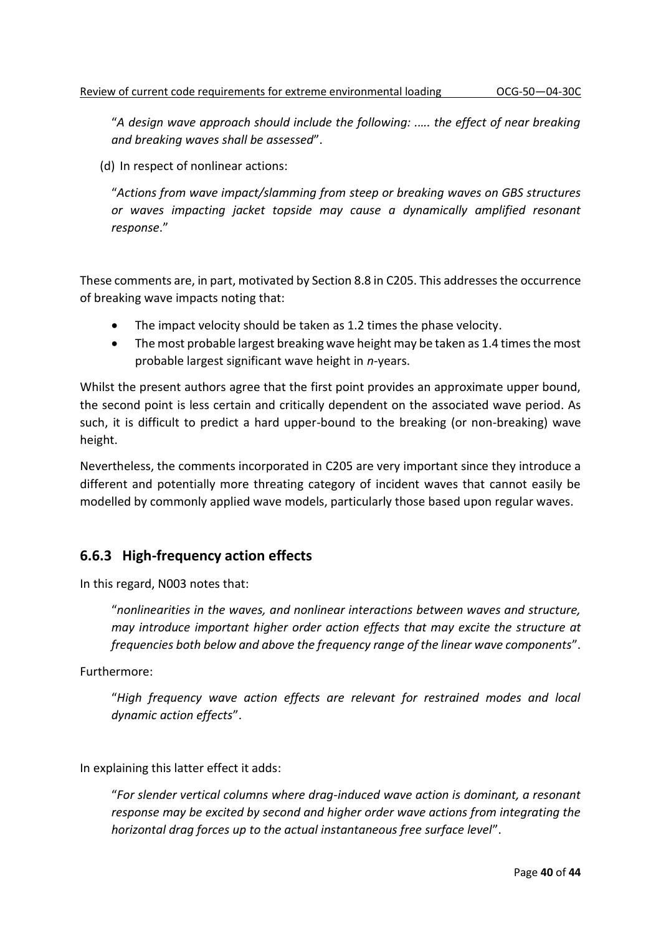"*A design wave approach should include the following: .…. the effect of near breaking and breaking waves shall be assessed*".

(d) In respect of nonlinear actions:

"*Actions from wave impact/slamming from steep or breaking waves on GBS structures or waves impacting jacket topside may cause a dynamically amplified resonant response*."

These comments are, in part, motivated by Section 8.8 in C205. This addresses the occurrence of breaking wave impacts noting that:

- The impact velocity should be taken as 1.2 times the phase velocity.
- The most probable largest breaking wave height may be taken as 1.4 times the most probable largest significant wave height in *n*-years.

Whilst the present authors agree that the first point provides an approximate upper bound, the second point is less certain and critically dependent on the associated wave period. As such, it is difficult to predict a hard upper-bound to the breaking (or non-breaking) wave height.

Nevertheless, the comments incorporated in C205 are very important since they introduce a different and potentially more threating category of incident waves that cannot easily be modelled by commonly applied wave models, particularly those based upon regular waves.

## **6.6.3 High-frequency action effects**

In this regard, N003 notes that:

"*nonlinearities in the waves, and nonlinear interactions between waves and structure, may introduce important higher order action effects that may excite the structure at frequencies both below and above the frequency range of the linear wave components*".

Furthermore:

"*High frequency wave action effects are relevant for restrained modes and local dynamic action effects*".

In explaining this latter effect it adds:

"*For slender vertical columns where drag-induced wave action is dominant, a resonant response may be excited by second and higher order wave actions from integrating the horizontal drag forces up to the actual instantaneous free surface level*".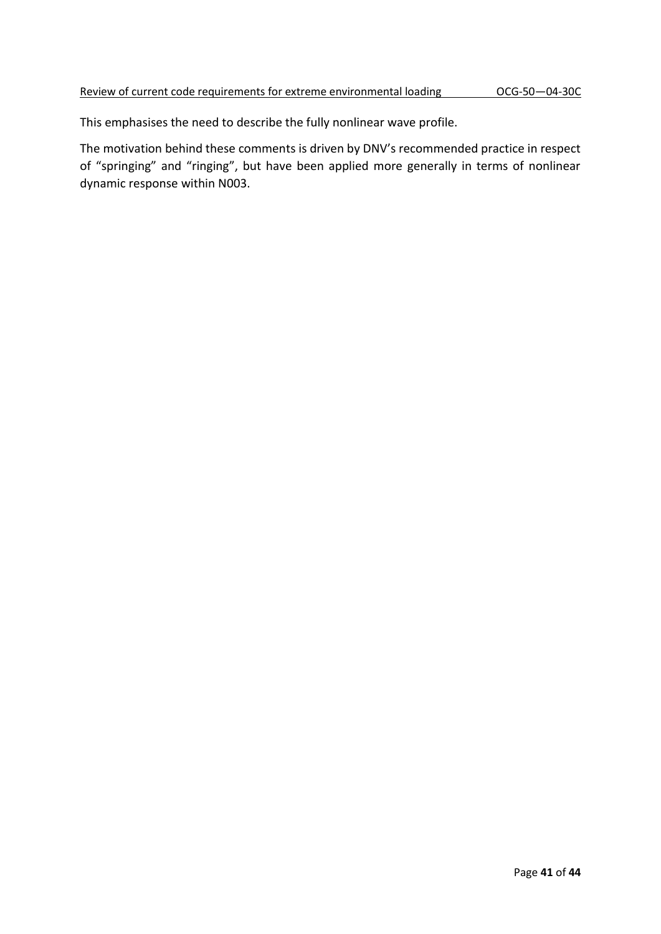This emphasises the need to describe the fully nonlinear wave profile.

The motivation behind these comments is driven by DNV's recommended practice in respect of "springing" and "ringing", but have been applied more generally in terms of nonlinear dynamic response within N003.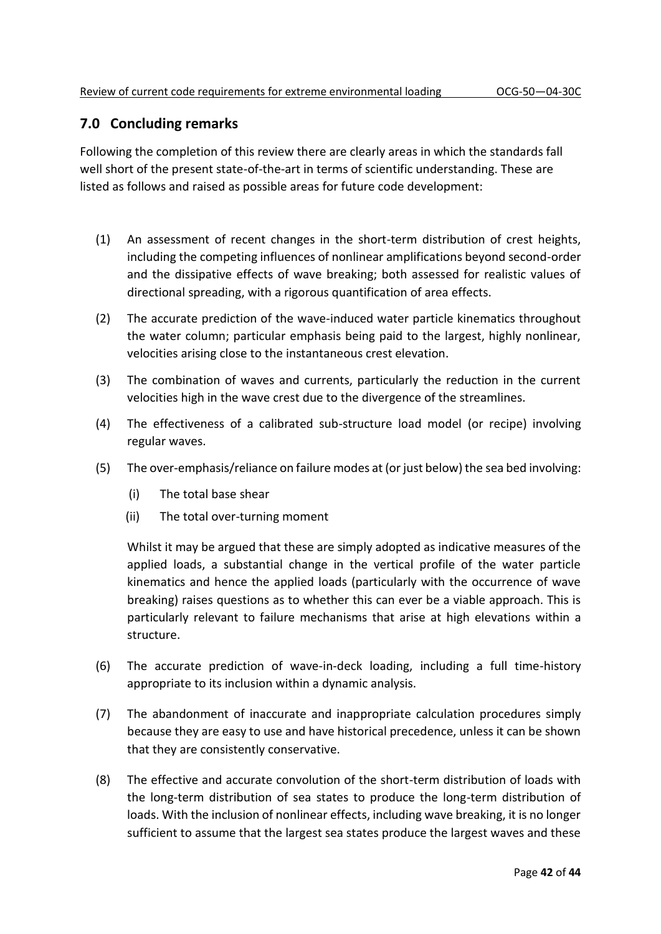## **7.0 Concluding remarks**

Following the completion of this review there are clearly areas in which the standards fall well short of the present state-of-the-art in terms of scientific understanding. These are listed as follows and raised as possible areas for future code development:

- (1) An assessment of recent changes in the short-term distribution of crest heights, including the competing influences of nonlinear amplifications beyond second-order and the dissipative effects of wave breaking; both assessed for realistic values of directional spreading, with a rigorous quantification of area effects.
- (2) The accurate prediction of the wave-induced water particle kinematics throughout the water column; particular emphasis being paid to the largest, highly nonlinear, velocities arising close to the instantaneous crest elevation.
- (3) The combination of waves and currents, particularly the reduction in the current velocities high in the wave crest due to the divergence of the streamlines.
- (4) The effectiveness of a calibrated sub-structure load model (or recipe) involving regular waves.
- (5) The over-emphasis/reliance on failure modes at (or just below) the sea bed involving:
	- (i) The total base shear
	- (ii) The total over-turning moment

Whilst it may be argued that these are simply adopted as indicative measures of the applied loads, a substantial change in the vertical profile of the water particle kinematics and hence the applied loads (particularly with the occurrence of wave breaking) raises questions as to whether this can ever be a viable approach. This is particularly relevant to failure mechanisms that arise at high elevations within a structure.

- (6) The accurate prediction of wave-in-deck loading, including a full time-history appropriate to its inclusion within a dynamic analysis.
- (7) The abandonment of inaccurate and inappropriate calculation procedures simply because they are easy to use and have historical precedence, unless it can be shown that they are consistently conservative.
- (8) The effective and accurate convolution of the short-term distribution of loads with the long-term distribution of sea states to produce the long-term distribution of loads. With the inclusion of nonlinear effects, including wave breaking, it is no longer sufficient to assume that the largest sea states produce the largest waves and these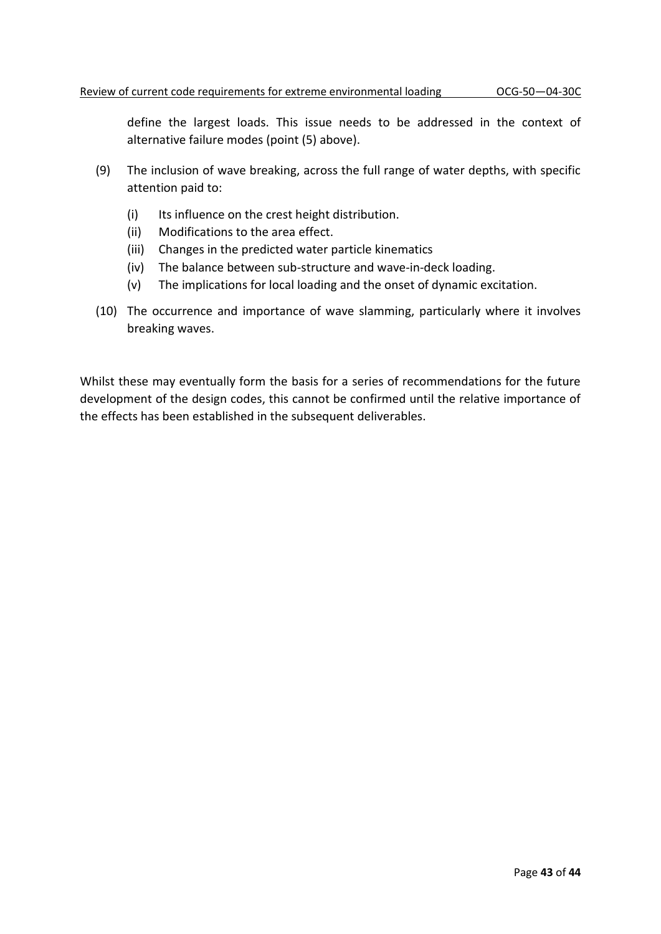define the largest loads. This issue needs to be addressed in the context of alternative failure modes (point (5) above).

- (9) The inclusion of wave breaking, across the full range of water depths, with specific attention paid to:
	- (i) Its influence on the crest height distribution.
	- (ii) Modifications to the area effect.
	- (iii) Changes in the predicted water particle kinematics
	- (iv) The balance between sub-structure and wave-in-deck loading.
	- (v) The implications for local loading and the onset of dynamic excitation.
- (10) The occurrence and importance of wave slamming, particularly where it involves breaking waves.

Whilst these may eventually form the basis for a series of recommendations for the future development of the design codes, this cannot be confirmed until the relative importance of the effects has been established in the subsequent deliverables.